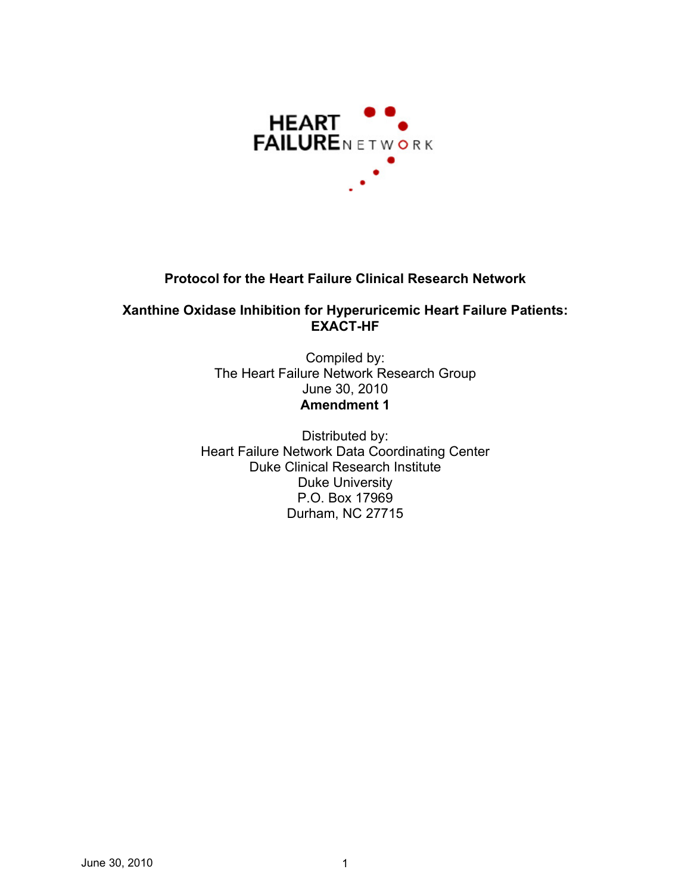

## **Protocol for the Heart Failure Clinical Research Network**

### **Xanthine Oxidase Inhibition for Hyperuricemic Heart Failure Patients: EXACT-HF**

Compiled by: The Heart Failure Network Research Group June 30, 2010 **Amendment 1** 

Distributed by: Heart Failure Network Data Coordinating Center Duke Clinical Research Institute Duke University P.O. Box 17969 Durham, NC 27715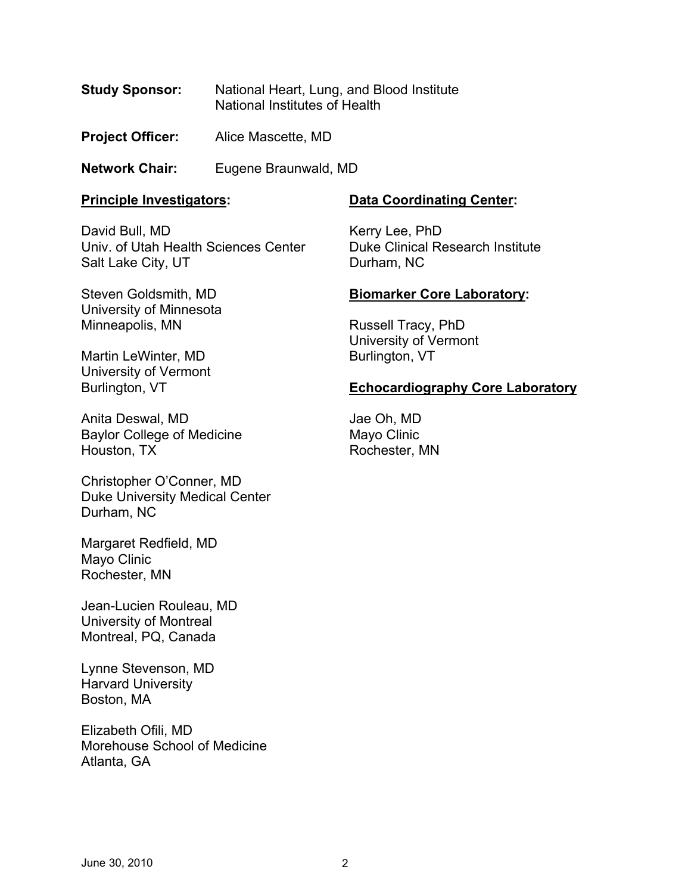- **Study Sponsor:** National Heart, Lung, and Blood Institute National Institutes of Health
- **Project Officer: Alice Mascette, MD**

**Network Chair:** Eugene Braunwald, MD

### **Principle Investigators:**

 Univ. of Utah Health Sciences Center David Bull, MD Salt Lake City, UT

## **Data Coordinating Center:**

Kerry Lee, PhD Duke Clinical Research Institute Durham, NC

## **Biomarker Core Laboratory:**

Russell Tracy, PhD University of Vermont Burlington, VT

## **Echocardiography Core Laboratory**

Jae Oh, MD Mayo Clinic Rochester, MN

Martin LeWinter, MD University of Vermont Burlington, VT

Minneapolis, MN

Steven Goldsmith, MD University of Minnesota

Anita Deswal, MD Baylor College of Medicine Houston, TX

Christopher O'Conner, MD Duke University Medical Center Durham, NC

Margaret Redfield, MD Mayo Clinic Rochester, MN

Jean-Lucien Rouleau, MD University of Montreal Montreal, PQ, Canada

Lynne Stevenson, MD Harvard University Boston, MA

Elizabeth Ofili, MD Morehouse School of Medicine Atlanta, GA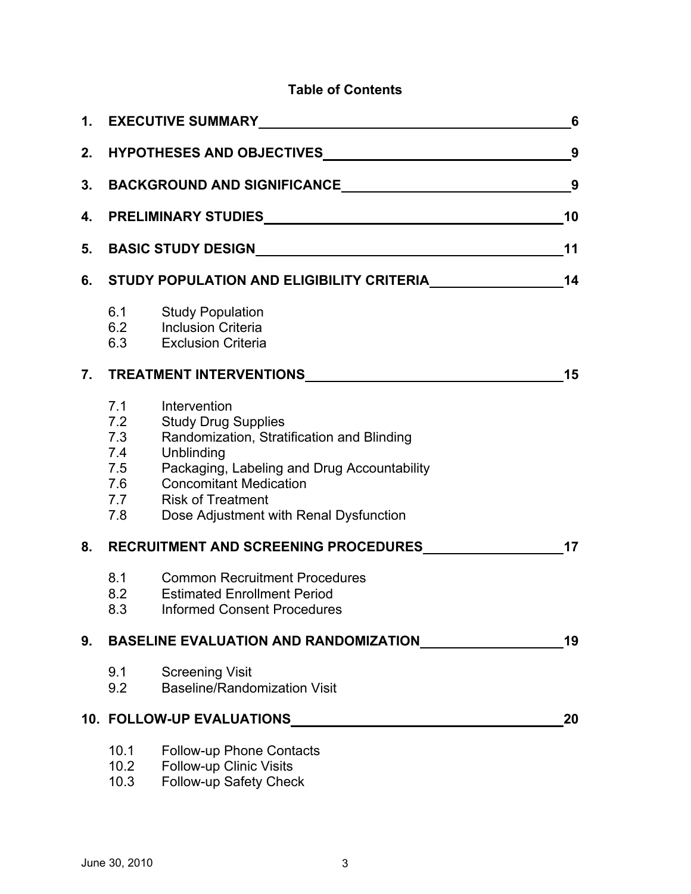## **Table of Contents**

|    |                                                                                                                                                                                                                                |                                                                                                                                                                                                                                                              | 6  |  |
|----|--------------------------------------------------------------------------------------------------------------------------------------------------------------------------------------------------------------------------------|--------------------------------------------------------------------------------------------------------------------------------------------------------------------------------------------------------------------------------------------------------------|----|--|
|    | 2. HYPOTHESES AND OBJECTIVES MARKET AND THE RESERVE AND THE RESERVE AND THE RESERVE AND THE RESERVE AND THE RESERVE AND THE RESERVE AND THE RESERVE AND THE RESERVE AND THE RESERVE AND THE RESERVE AND THE RESERVE AND THE RE |                                                                                                                                                                                                                                                              |    |  |
| 3. | 9                                                                                                                                                                                                                              |                                                                                                                                                                                                                                                              |    |  |
|    |                                                                                                                                                                                                                                |                                                                                                                                                                                                                                                              | 10 |  |
|    | 11                                                                                                                                                                                                                             |                                                                                                                                                                                                                                                              |    |  |
| 6. | STUDY POPULATION AND ELIGIBILITY CRITERIA <b>CONTAMINATION</b>                                                                                                                                                                 |                                                                                                                                                                                                                                                              |    |  |
|    |                                                                                                                                                                                                                                | 6.1 Study Population<br>6.2 Inclusion Criteria<br>6.3 Exclusion Criteria                                                                                                                                                                                     |    |  |
|    |                                                                                                                                                                                                                                | 15                                                                                                                                                                                                                                                           |    |  |
|    | 7.1<br>7.2<br>7.3<br>7.4<br>7.5<br>7.6<br>7.7<br>7.8                                                                                                                                                                           | Intervention<br><b>Study Drug Supplies</b><br>Randomization, Stratification and Blinding<br>Unblinding<br>Packaging, Labeling and Drug Accountability<br><b>Concomitant Medication</b><br><b>Risk of Treatment</b><br>Dose Adjustment with Renal Dysfunction |    |  |
| 8. |                                                                                                                                                                                                                                | RECRUITMENT AND SCREENING PROCEDURES                                                                                                                                                                                                                         | 17 |  |
|    | 8.1<br>8.2<br>8.3                                                                                                                                                                                                              | <b>Common Recruitment Procedures</b><br><b>Estimated Enrollment Period</b><br><b>Informed Consent Procedures</b>                                                                                                                                             |    |  |
| 9. |                                                                                                                                                                                                                                | <b>BASELINE EVALUATION AND RANDOMIZATION</b>                                                                                                                                                                                                                 | 19 |  |
|    | 9.1<br>9.2                                                                                                                                                                                                                     | <b>Screening Visit</b><br><b>Baseline/Randomization Visit</b>                                                                                                                                                                                                |    |  |
|    |                                                                                                                                                                                                                                | <b>10. FOLLOW-UP EVALUATIONS</b>                                                                                                                                                                                                                             | 20 |  |
|    | 10.1<br>10.2<br>10.3                                                                                                                                                                                                           | Follow-up Phone Contacts<br><b>Follow-up Clinic Visits</b><br>Follow-up Safety Check                                                                                                                                                                         |    |  |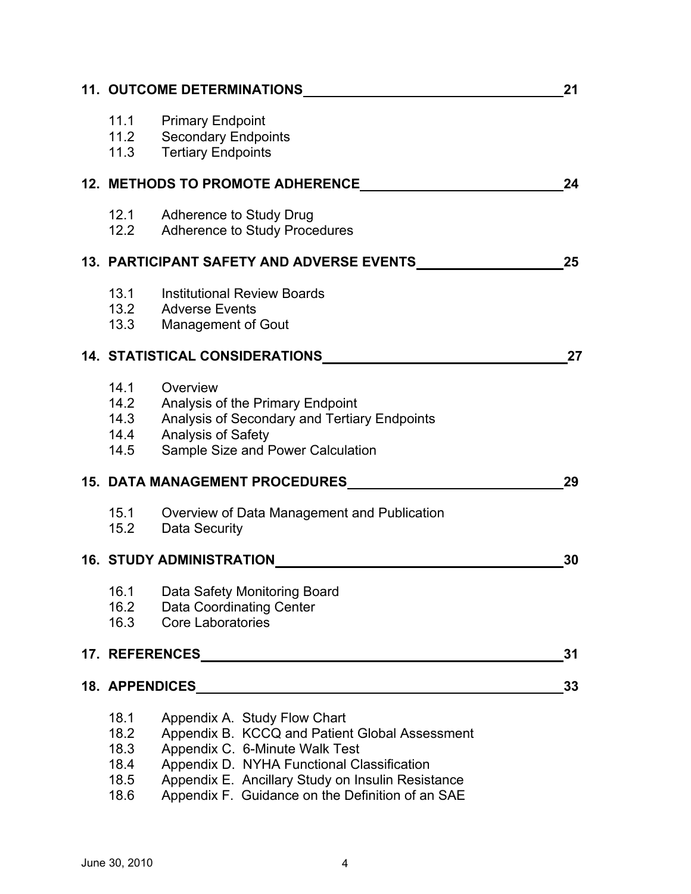| 11. OUTCOME DETERMINATIONS_______________<br>21 |                                                                                                                                                                                                                                                                         |    |  |  |  |
|-------------------------------------------------|-------------------------------------------------------------------------------------------------------------------------------------------------------------------------------------------------------------------------------------------------------------------------|----|--|--|--|
|                                                 | 11.1 Primary Endpoint<br>11.2 Secondary Endpoints<br>11.3 Tertiary Endpoints                                                                                                                                                                                            |    |  |  |  |
|                                                 | <b>12. METHODS TO PROMOTE ADHERENCE</b>                                                                                                                                                                                                                                 | 24 |  |  |  |
| 12.2                                            | 12.1 Adherence to Study Drug<br><b>Adherence to Study Procedures</b>                                                                                                                                                                                                    |    |  |  |  |
|                                                 | 13. PARTICIPANT SAFETY AND ADVERSE EVENTS____________                                                                                                                                                                                                                   |    |  |  |  |
| 13.1<br>13.3                                    | <b>Institutional Review Boards</b><br>13.2 Adverse Events<br><b>Management of Gout</b>                                                                                                                                                                                  |    |  |  |  |
|                                                 | 14. STATISTICAL CONSIDERATIONS                                                                                                                                                                                                                                          | 27 |  |  |  |
| 14.1<br>14.4<br>14.5                            | Overview<br>14.2 Analysis of the Primary Endpoint<br>14.3 Analysis of Secondary and Tertiary Endpoints<br>Analysis of Safety<br>Sample Size and Power Calculation                                                                                                       |    |  |  |  |
|                                                 | 15. DATA MANAGEMENT PROCEDURES                                                                                                                                                                                                                                          | 29 |  |  |  |
| 15.1<br>15.2                                    | Overview of Data Management and Publication<br>Data Security                                                                                                                                                                                                            |    |  |  |  |
|                                                 | 16. STUDY ADMINISTRATION                                                                                                                                                                                                                                                | 30 |  |  |  |
| 16.1<br>16.2<br>16.3                            | Data Safety Monitoring Board<br>Data Coordinating Center<br><b>Core Laboratories</b>                                                                                                                                                                                    |    |  |  |  |
|                                                 |                                                                                                                                                                                                                                                                         | 31 |  |  |  |
|                                                 | <b>18. APPENDICES ARRAIGNMENT CONTROLLER SERVICES</b>                                                                                                                                                                                                                   | 33 |  |  |  |
| 18.1<br>18.2<br>18.3<br>18.4<br>18.5<br>18.6    | Appendix A. Study Flow Chart<br>Appendix B. KCCQ and Patient Global Assessment<br>Appendix C. 6-Minute Walk Test<br>Appendix D. NYHA Functional Classification<br>Appendix E. Ancillary Study on Insulin Resistance<br>Appendix F. Guidance on the Definition of an SAE |    |  |  |  |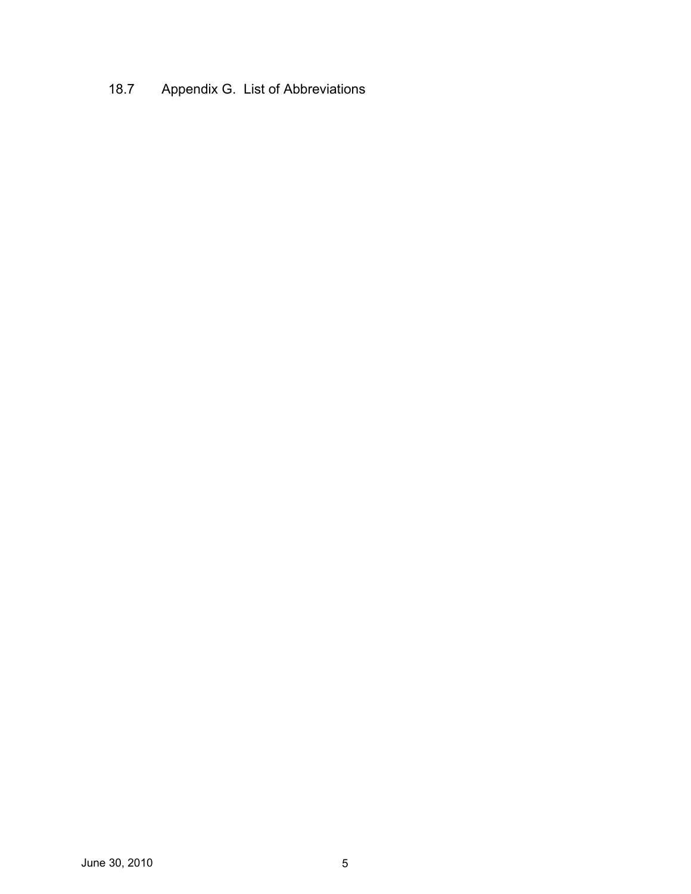# 18.7 Appendix G. List of Abbreviations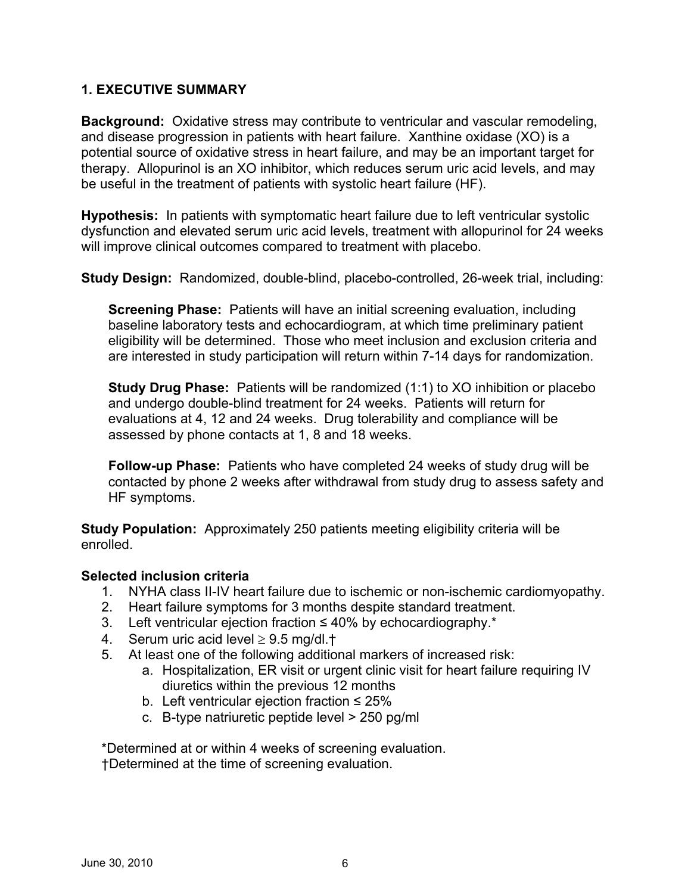### **1. EXECUTIVE SUMMARY**

**Background:** Oxidative stress may contribute to ventricular and vascular remodeling, and disease progression in patients with heart failure. Xanthine oxidase (XO) is a potential source of oxidative stress in heart failure, and may be an important target for therapy. Allopurinol is an XO inhibitor, which reduces serum uric acid levels, and may be useful in the treatment of patients with systolic heart failure (HF).

**Hypothesis:** In patients with symptomatic heart failure due to left ventricular systolic dysfunction and elevated serum uric acid levels, treatment with allopurinol for 24 weeks will improve clinical outcomes compared to treatment with placebo.

**Study Design:** Randomized, double-blind, placebo-controlled, 26-week trial, including:

**Screening Phase:** Patients will have an initial screening evaluation, including baseline laboratory tests and echocardiogram, at which time preliminary patient eligibility will be determined. Those who meet inclusion and exclusion criteria and are interested in study participation will return within 7-14 days for randomization.

**Study Drug Phase:** Patients will be randomized (1:1) to XO inhibition or placebo and undergo double-blind treatment for 24 weeks. Patients will return for evaluations at 4, 12 and 24 weeks. Drug tolerability and compliance will be assessed by phone contacts at 1, 8 and 18 weeks.

**Follow-up Phase:** Patients who have completed 24 weeks of study drug will be contacted by phone 2 weeks after withdrawal from study drug to assess safety and HF symptoms.

**Study Population:** Approximately 250 patients meeting eligibility criteria will be enrolled.

### **Selected inclusion criteria**

- 1. NYHA class II-IV heart failure due to ischemic or non-ischemic cardiomyopathy.
- 2. Heart failure symptoms for 3 months despite standard treatment.
- 3. Left ventricular ejection fraction ≤ 40% by echocardiography.\*
- 4. Serum uric acid level  $\geq 9.5$  mg/dl.<sup>+</sup>
- 5. At least one of the following additional markers of increased risk:
	- a. Hospitalization, ER visit or urgent clinic visit for heart failure requiring IV diuretics within the previous 12 months
	- b. Left ventricular ejection fraction  $\leq 25\%$
	- c. B-type natriuretic peptide level > 250 pg/ml

\*Determined at or within 4 weeks of screening evaluation. †Determined at the time of screening evaluation.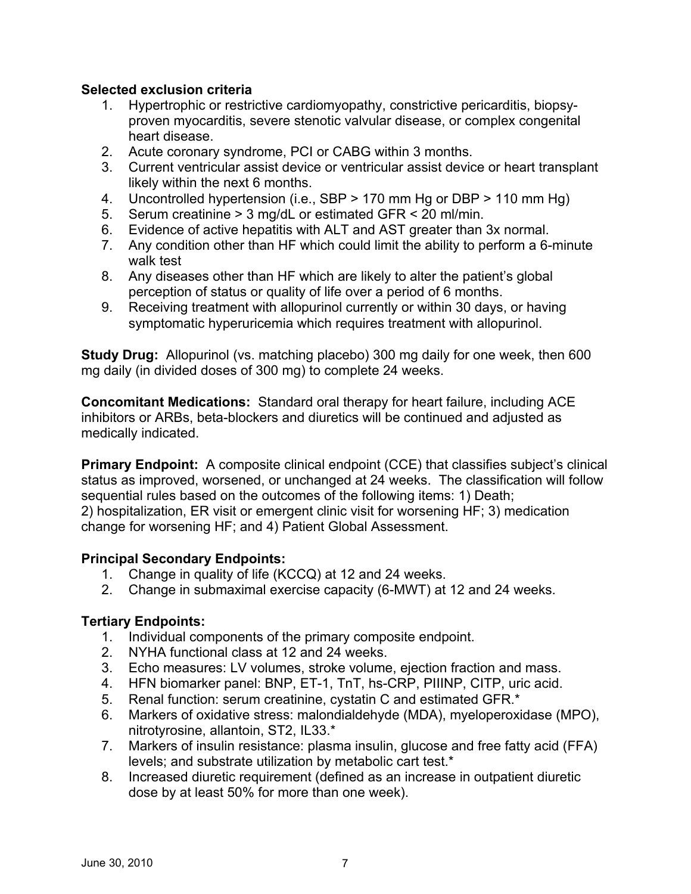### **Selected exclusion criteria**

- 1. Hypertrophic or restrictive cardiomyopathy, constrictive pericarditis, biopsyproven myocarditis, severe stenotic valvular disease, or complex congenital heart disease.
- 2. Acute coronary syndrome, PCI or CABG within 3 months.
- 3. Current ventricular assist device or ventricular assist device or heart transplant likely within the next 6 months.
- 4. Uncontrolled hypertension (i.e., SBP > 170 mm Hg or DBP > 110 mm Hg)
- 5. Serum creatinine > 3 mg/dL or estimated GFR < 20 ml/min.
- 6. Evidence of active hepatitis with ALT and AST greater than 3x normal.
- 7. Any condition other than HF which could limit the ability to perform a 6-minute walk test
- 8. Any diseases other than HF which are likely to alter the patient's global perception of status or quality of life over a period of 6 months.
- 9. Receiving treatment with allopurinol currently or within 30 days, or having symptomatic hyperuricemia which requires treatment with allopurinol.

**Study Drug:** Allopurinol (vs. matching placebo) 300 mg daily for one week, then 600 mg daily (in divided doses of 300 mg) to complete 24 weeks.

**Concomitant Medications:** Standard oral therapy for heart failure, including ACE inhibitors or ARBs, beta-blockers and diuretics will be continued and adjusted as medically indicated.

**Primary Endpoint:** A composite clinical endpoint (CCE) that classifies subject's clinical status as improved, worsened, or unchanged at 24 weeks. The classification will follow sequential rules based on the outcomes of the following items: 1) Death; 2) hospitalization, ER visit or emergent clinic visit for worsening HF; 3) medication change for worsening HF; and 4) Patient Global Assessment.

### **Principal Secondary Endpoints:**

- 1. Change in quality of life (KCCQ) at 12 and 24 weeks.
- 2. Change in submaximal exercise capacity (6-MWT) at 12 and 24 weeks.

## **Tertiary Endpoints:**

- 1. Individual components of the primary composite endpoint.
- 2. NYHA functional class at 12 and 24 weeks.
- 3. Echo measures: LV volumes, stroke volume, ejection fraction and mass.
- 4. HFN biomarker panel: BNP, ET-1, TnT, hs-CRP, PIIINP, CITP, uric acid.
- 5. Renal function: serum creatinine, cystatin C and estimated GFR.\*
- 6. Markers of oxidative stress: malondialdehyde (MDA), myeloperoxidase (MPO), nitrotyrosine, allantoin, ST2, IL33.\*
- 7. Markers of insulin resistance: plasma insulin, glucose and free fatty acid (FFA) levels; and substrate utilization by metabolic cart test.\*
- 8. Increased diuretic requirement (defined as an increase in outpatient diuretic dose by at least 50% for more than one week).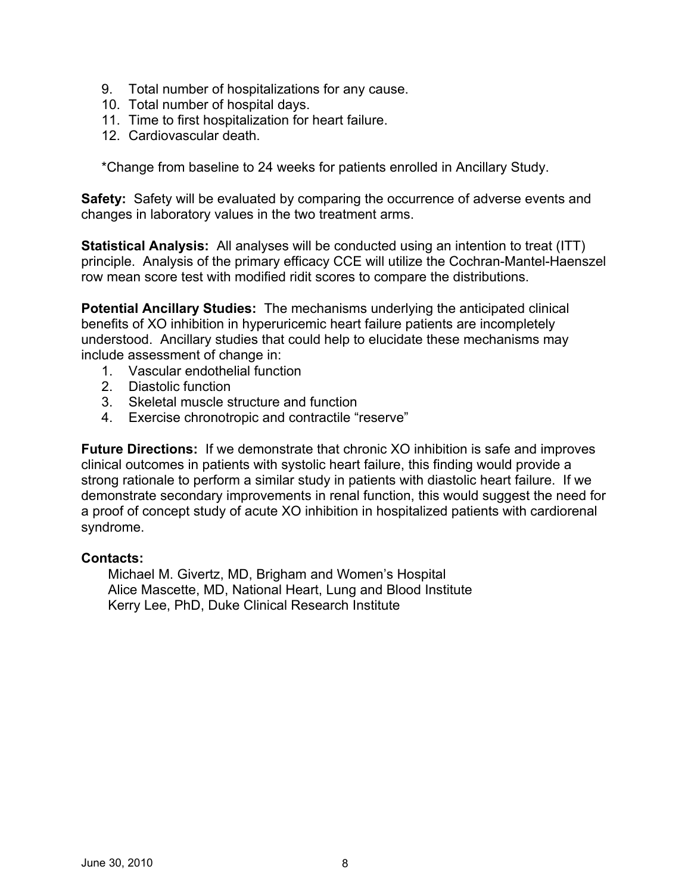- 9. Total number of hospitalizations for any cause.
- 10. Total number of hospital days.
- 11. Time to first hospitalization for heart failure.
- 12. Cardiovascular death.

\*Change from baseline to 24 weeks for patients enrolled in Ancillary Study.

**Safety:** Safety will be evaluated by comparing the occurrence of adverse events and changes in laboratory values in the two treatment arms.

**Statistical Analysis:** All analyses will be conducted using an intention to treat (ITT) principle. Analysis of the primary efficacy CCE will utilize the Cochran-Mantel-Haenszel row mean score test with modified ridit scores to compare the distributions.

**Potential Ancillary Studies:** The mechanisms underlying the anticipated clinical benefits of XO inhibition in hyperuricemic heart failure patients are incompletely understood. Ancillary studies that could help to elucidate these mechanisms may include assessment of change in:

- 1. Vascular endothelial function
- 2. Diastolic function
- 3. Skeletal muscle structure and function
- 4. Exercise chronotropic and contractile "reserve"

**Future Directions:** If we demonstrate that chronic XO inhibition is safe and improves clinical outcomes in patients with systolic heart failure, this finding would provide a strong rationale to perform a similar study in patients with diastolic heart failure. If we demonstrate secondary improvements in renal function, this would suggest the need for a proof of concept study of acute XO inhibition in hospitalized patients with cardiorenal syndrome.

#### **Contacts:**

Michael M. Givertz, MD, Brigham and Women's Hospital Alice Mascette, MD, National Heart, Lung and Blood Institute Kerry Lee, PhD, Duke Clinical Research Institute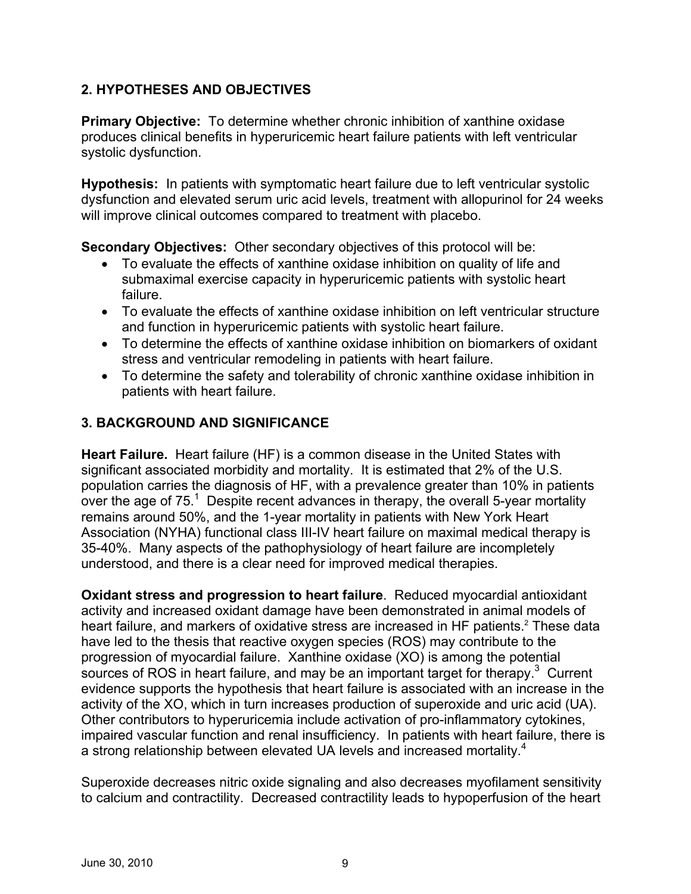## **2. HYPOTHESES AND OBJECTIVES**

**Primary Objective:** To determine whether chronic inhibition of xanthine oxidase produces clinical benefits in hyperuricemic heart failure patients with left ventricular systolic dysfunction.

**Hypothesis:** In patients with symptomatic heart failure due to left ventricular systolic dysfunction and elevated serum uric acid levels, treatment with allopurinol for 24 weeks will improve clinical outcomes compared to treatment with placebo.

**Secondary Objectives:** Other secondary objectives of this protocol will be:

- To evaluate the effects of xanthine oxidase inhibition on quality of life and submaximal exercise capacity in hyperuricemic patients with systolic heart failure.
- To evaluate the effects of xanthine oxidase inhibition on left ventricular structure and function in hyperuricemic patients with systolic heart failure.
- To determine the effects of xanthine oxidase inhibition on biomarkers of oxidant stress and ventricular remodeling in patients with heart failure.
- To determine the safety and tolerability of chronic xanthine oxidase inhibition in patients with heart failure.

## **3. BACKGROUND AND SIGNIFICANCE**

**Heart Failure.** Heart failure (HF) is a common disease in the United States with significant associated morbidity and mortality. It is estimated that 2% of the U.S. population carries the diagnosis of HF, with a prevalence greater than 10% in patients over the age of  $75<sup>1</sup>$  Despite recent advances in therapy, the overall 5-year mortality remains around 50%, and the 1-year mortality in patients with New York Heart Association (NYHA) functional class III-IV heart failure on maximal medical therapy is 35-40%. Many aspects of the pathophysiology of heart failure are incompletely understood, and there is a clear need for improved medical therapies.

**Oxidant stress and progression to heart failure**. Reduced myocardial antioxidant activity and increased oxidant damage have been demonstrated in animal models of heart failure, and markers of oxidative stress are increased in HF patients.<sup>2</sup> These data have led to the thesis that reactive oxygen species (ROS) may contribute to the progression of myocardial failure. Xanthine oxidase (XO) is among the potential sources of ROS in heart failure, and may be an important target for therapy.<sup>3</sup> Current evidence supports the hypothesis that heart failure is associated with an increase in the activity of the XO, which in turn increases production of superoxide and uric acid (UA). Other contributors to hyperuricemia include activation of pro-inflammatory cytokines, impaired vascular function and renal insufficiency. In patients with heart failure, there is a strong relationship between elevated UA levels and increased mortality.<sup>4</sup>

Superoxide decreases nitric oxide signaling and also decreases myofilament sensitivity to calcium and contractility. Decreased contractility leads to hypoperfusion of the heart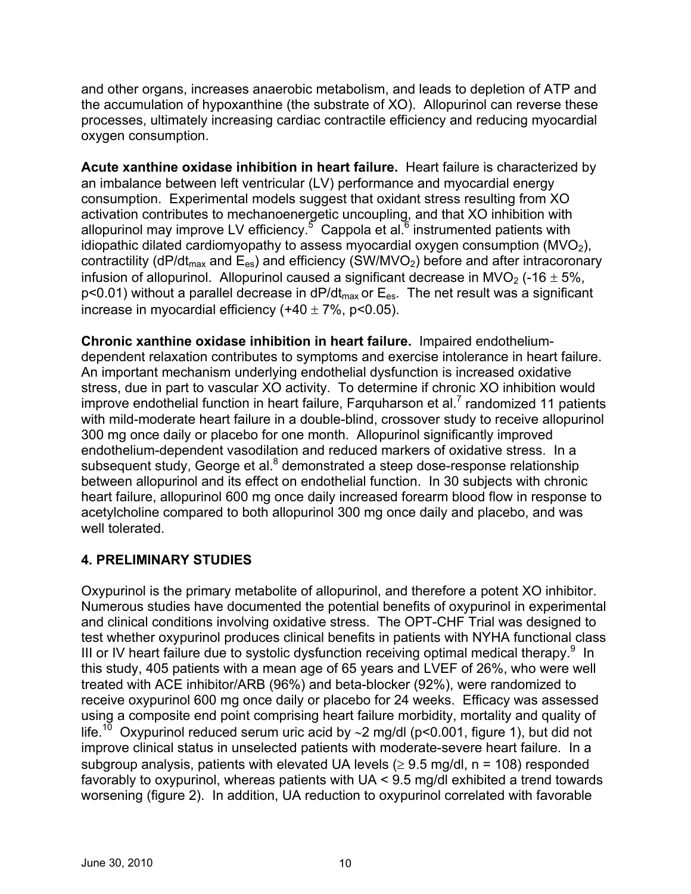and other organs, increases anaerobic metabolism, and leads to depletion of ATP and the accumulation of hypoxanthine (the substrate of XO). Allopurinol can reverse these processes, ultimately increasing cardiac contractile efficiency and reducing myocardial oxygen consumption.

**Acute xanthine oxidase inhibition in heart failure.** Heart failure is characterized by an imbalance between left ventricular (LV) performance and myocardial energy consumption. Experimental models suggest that oxidant stress resulting from XO activation contributes to mechanoenergetic uncoupling, and that XO inhibition with allopurinol may improve LV efficiency.<sup>5</sup> Cappola et al.<sup>6</sup> instrumented patients with idiopathic dilated cardiomyopathy to assess myocardial oxygen consumption  $(MVO<sub>2</sub>)$ , contractility (dP/dt<sub>max</sub> and  $E_{es}$ ) and efficiency (SW/MVO<sub>2</sub>) before and after intracoronary infusion of allopurinol. Allopurinol caused a significant decrease in MVO<sub>2</sub> (-16  $\pm$  5%,  $p$ <0.01) without a parallel decrease in dP/dt<sub>max</sub> or  $E_{es}$ . The net result was a significant increase in myocardial efficiency  $(+40 \pm 7\%$ , p<0.05).

**Chronic xanthine oxidase inhibition in heart failure.** Impaired endotheliumdependent relaxation contributes to symptoms and exercise intolerance in heart failure. An important mechanism underlying endothelial dysfunction is increased oxidative stress, due in part to vascular XO activity. To determine if chronic XO inhibition would improve endothelial function in heart failure, Farquharson et al.<sup>7</sup> randomized 11 patients with mild-moderate heart failure in a double-blind, crossover study to receive allopurinol 300 mg once daily or placebo for one month. Allopurinol significantly improved endothelium-dependent vasodilation and reduced markers of oxidative stress. In a subsequent study, George et al.<sup>8</sup> demonstrated a steep dose-response relationship between allopurinol and its effect on endothelial function. In 30 subjects with chronic heart failure, allopurinol 600 mg once daily increased forearm blood flow in response to acetylcholine compared to both allopurinol 300 mg once daily and placebo, and was well tolerated

## **4. PRELIMINARY STUDIES**

Oxypurinol is the primary metabolite of allopurinol, and therefore a potent XO inhibitor. Numerous studies have documented the potential benefits of oxypurinol in experimental and clinical conditions involving oxidative stress. The OPT-CHF Trial was designed to test whether oxypurinol produces clinical benefits in patients with NYHA functional class III or IV heart failure due to systolic dysfunction receiving optimal medical therapy.  $9 \text{ In}$ this study, 405 patients with a mean age of 65 years and LVEF of 26%, who were well treated with ACE inhibitor/ARB (96%) and beta-blocker (92%), were randomized to receive oxypurinol 600 mg once daily or placebo for 24 weeks. Efficacy was assessed using a composite end point comprising heart failure morbidity, mortality and quality of life.<sup>10</sup> Oxypurinol reduced serum uric acid by ~2 mg/dl (p<0.001, figure 1), but did not improve clinical status in unselected patients with moderate-severe heart failure. In a subgroup analysis, patients with elevated UA levels ( $\geq$  9.5 mg/dl, n = 108) responded favorably to oxypurinol, whereas patients with UA < 9.5 mg/dl exhibited a trend towards worsening (figure 2). In addition, UA reduction to oxypurinol correlated with favorable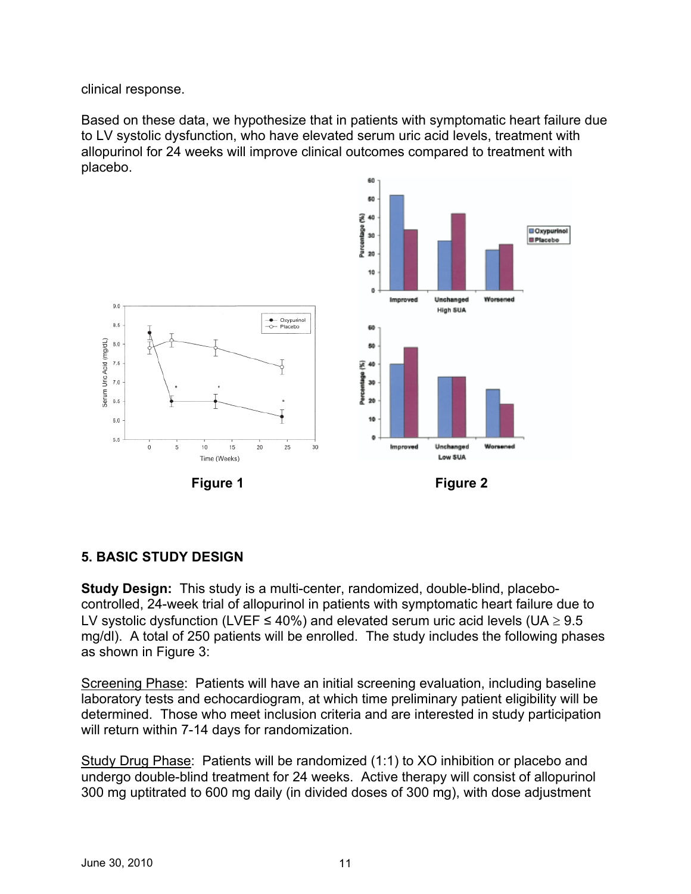clinical response.

Based on these data, we hypothesize that in patients with symptomatic heart failure due to LV systolic dysfunction, who have elevated serum uric acid levels, treatment with allopurinol for 24 weeks will improve clinical outcomes compared to treatment with placebo.



### **5. BASIC STUDY DESIGN**

**Study Design:** This study is a multi-center, randomized, double-blind, placebocontrolled, 24-week trial of allopurinol in patients with symptomatic heart failure due to LV systolic dysfunction (LVEF  $\leq 40\%$ ) and elevated serum uric acid levels (UA  $\geq 9.5$ mg/dl). A total of 250 patients will be enrolled. The study includes the following phases as shown in Figure 3:

Screening Phase: Patients will have an initial screening evaluation, including baseline laboratory tests and echocardiogram, at which time preliminary patient eligibility will be determined. Those who meet inclusion criteria and are interested in study participation will return within 7-14 days for randomization.

Study Drug Phase: Patients will be randomized (1:1) to XO inhibition or placebo and undergo double-blind treatment for 24 weeks. Active therapy will consist of allopurinol 300 mg uptitrated to 600 mg daily (in divided doses of 300 mg), with dose adjustment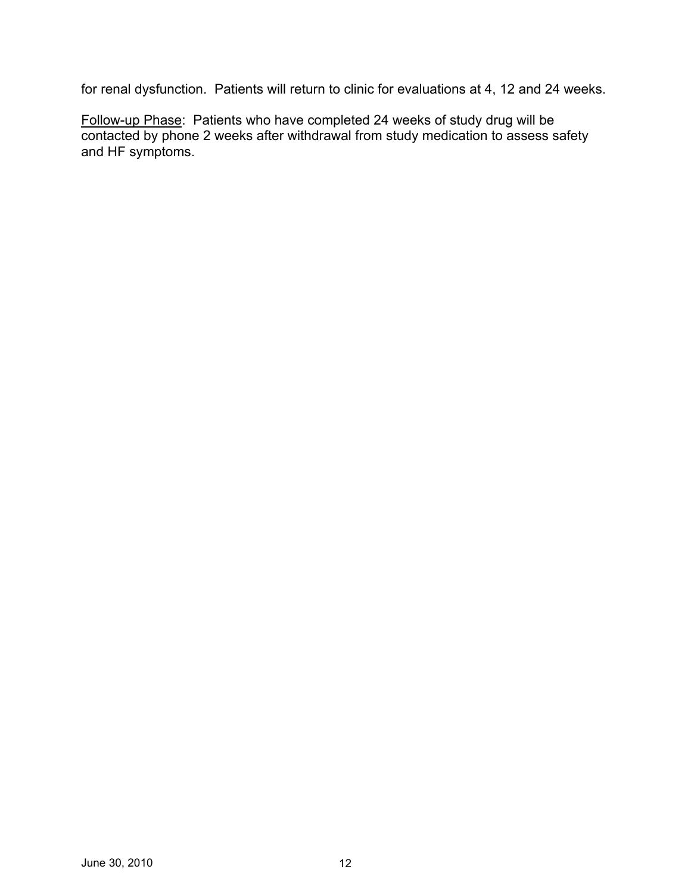for renal dysfunction. Patients will return to clinic for evaluations at 4, 12 and 24 weeks.

Follow-up Phase: Patients who have completed 24 weeks of study drug will be contacted by phone 2 weeks after withdrawal from study medication to assess safety and HF symptoms.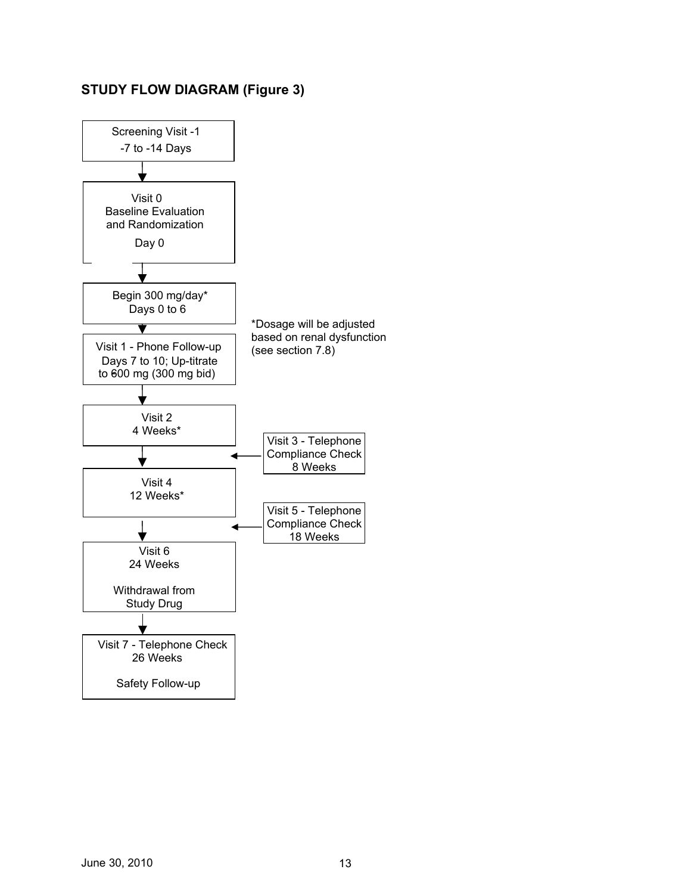## **STUDY FLOW DIAGRAM (Figure 3)**

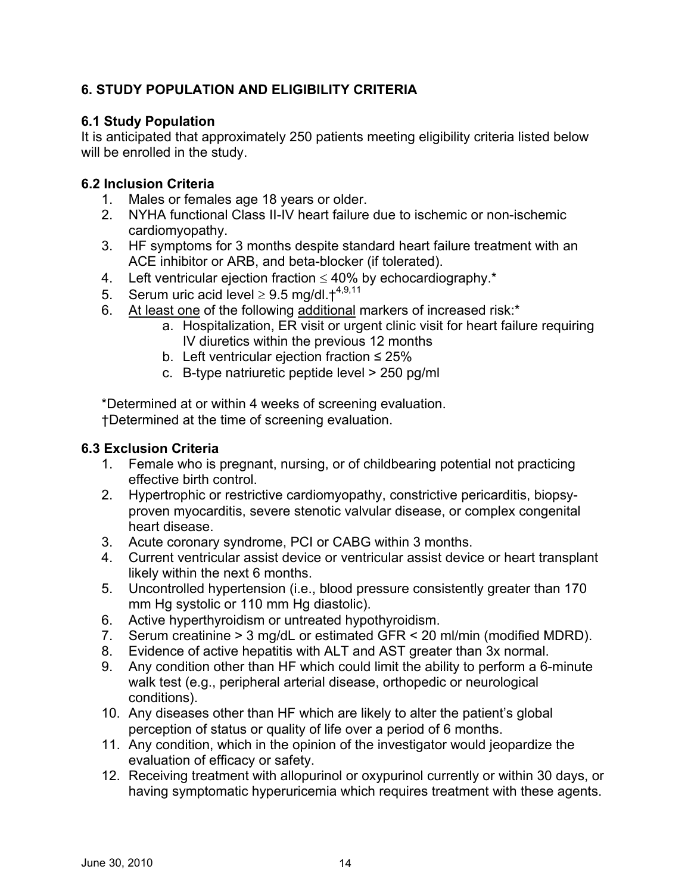## **6. STUDY POPULATION AND ELIGIBILITY CRITERIA**

## **6.1 Study Population**

It is anticipated that approximately 250 patients meeting eligibility criteria listed below will be enrolled in the study.

## **6.2 Inclusion Criteria**

- 1. Males or females age 18 years or older.
- 2. NYHA functional Class II-IV heart failure due to ischemic or non-ischemic cardiomyopathy.
- 3. HF symptoms for 3 months despite standard heart failure treatment with an ACE inhibitor or ARB, and beta-blocker (if tolerated).
- 4. Left ventricular ejection fraction  $\leq 40\%$  by echocardiography.<sup>\*</sup>
- 5. Serum uric acid level  $\geq 9.5$  mg/dl.  $\text{t}^{4,9,11}$
- 6. At least one of the following additional markers of increased risk:\*
	- a. Hospitalization, ER visit or urgent clinic visit for heart failure requiring IV diuretics within the previous 12 months
	- b. Left ventricular ejection fraction  $\leq 25\%$
	- c. B-type natriuretic peptide level > 250 pg/ml

\*Determined at or within 4 weeks of screening evaluation. †Determined at the time of screening evaluation.

### **6.3 Exclusion Criteria**

- 1. Female who is pregnant, nursing, or of childbearing potential not practicing effective birth control.
- 2. Hypertrophic or restrictive cardiomyopathy, constrictive pericarditis, biopsyproven myocarditis, severe stenotic valvular disease, or complex congenital heart disease.
- 3. Acute coronary syndrome, PCI or CABG within 3 months.
- 4. Current ventricular assist device or ventricular assist device or heart transplant likely within the next 6 months.
- 5. Uncontrolled hypertension (i.e., blood pressure consistently greater than 170 mm Hg systolic or 110 mm Hg diastolic).
- 6. Active hyperthyroidism or untreated hypothyroidism.
- 7. Serum creatinine > 3 mg/dL or estimated GFR < 20 ml/min (modified MDRD).
- 8. Evidence of active hepatitis with ALT and AST greater than 3x normal.
- 9. Any condition other than HF which could limit the ability to perform a 6-minute walk test (e.g., peripheral arterial disease, orthopedic or neurological conditions).
- 10. Any diseases other than HF which are likely to alter the patient's global perception of status or quality of life over a period of 6 months.
- 11. Any condition, which in the opinion of the investigator would jeopardize the evaluation of efficacy or safety.
- 12. Receiving treatment with allopurinol or oxypurinol currently or within 30 days, or having symptomatic hyperuricemia which requires treatment with these agents.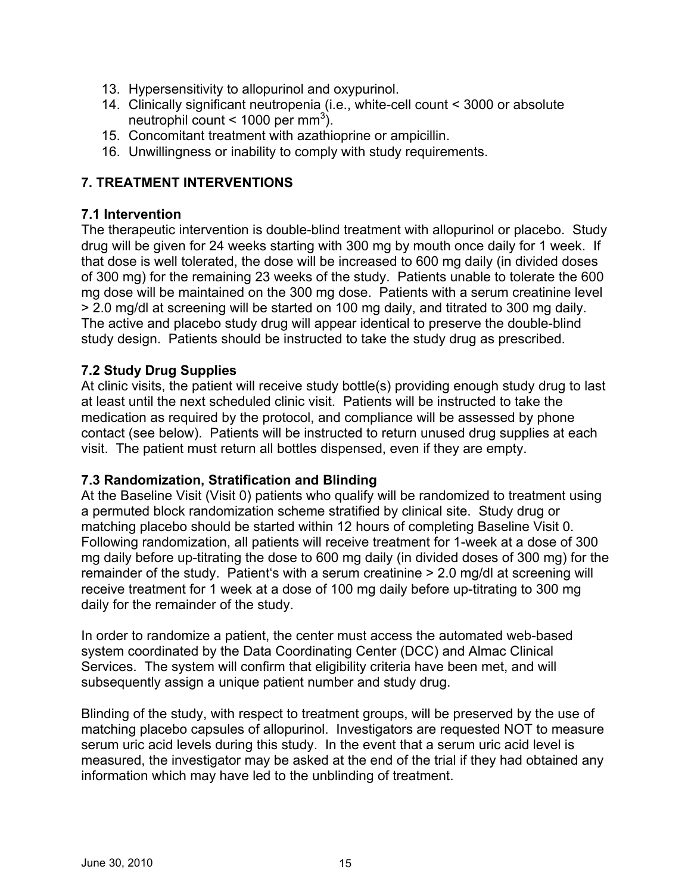- 13. Hypersensitivity to allopurinol and oxypurinol.
- 14. Clinically significant neutropenia (i.e., white-cell count < 3000 or absolute neutrophil count <  $1000$  per mm<sup>3</sup>).
- 15. Concomitant treatment with azathioprine or ampicillin.
- 16. Unwillingness or inability to comply with study requirements.

## **7. TREATMENT INTERVENTIONS**

### **7.1 Intervention**

The therapeutic intervention is double-blind treatment with allopurinol or placebo. Study drug will be given for 24 weeks starting with 300 mg by mouth once daily for 1 week. If that dose is well tolerated, the dose will be increased to 600 mg daily (in divided doses of 300 mg) for the remaining 23 weeks of the study. Patients unable to tolerate the 600 mg dose will be maintained on the 300 mg dose. Patients with a serum creatinine level > 2.0 mg/dl at screening will be started on 100 mg daily, and titrated to 300 mg daily. The active and placebo study drug will appear identical to preserve the double-blind study design. Patients should be instructed to take the study drug as prescribed.

### **7.2 Study Drug Supplies**

At clinic visits, the patient will receive study bottle(s) providing enough study drug to last at least until the next scheduled clinic visit. Patients will be instructed to take the medication as required by the protocol, and compliance will be assessed by phone contact (see below). Patients will be instructed to return unused drug supplies at each visit. The patient must return all bottles dispensed, even if they are empty.

### **7.3 Randomization, Stratification and Blinding**

At the Baseline Visit (Visit 0) patients who qualify will be randomized to treatment using a permuted block randomization scheme stratified by clinical site. Study drug or matching placebo should be started within 12 hours of completing Baseline Visit 0. Following randomization, all patients will receive treatment for 1-week at a dose of 300 mg daily before up-titrating the dose to 600 mg daily (in divided doses of 300 mg) for the remainder of the study. Patient's with a serum creatinine > 2.0 mg/dl at screening will receive treatment for 1 week at a dose of 100 mg daily before up-titrating to 300 mg daily for the remainder of the study.

In order to randomize a patient, the center must access the automated web-based system coordinated by the Data Coordinating Center (DCC) and Almac Clinical Services. The system will confirm that eligibility criteria have been met, and will subsequently assign a unique patient number and study drug.

Blinding of the study, with respect to treatment groups, will be preserved by the use of matching placebo capsules of allopurinol. Investigators are requested NOT to measure serum uric acid levels during this study. In the event that a serum uric acid level is measured, the investigator may be asked at the end of the trial if they had obtained any information which may have led to the unblinding of treatment.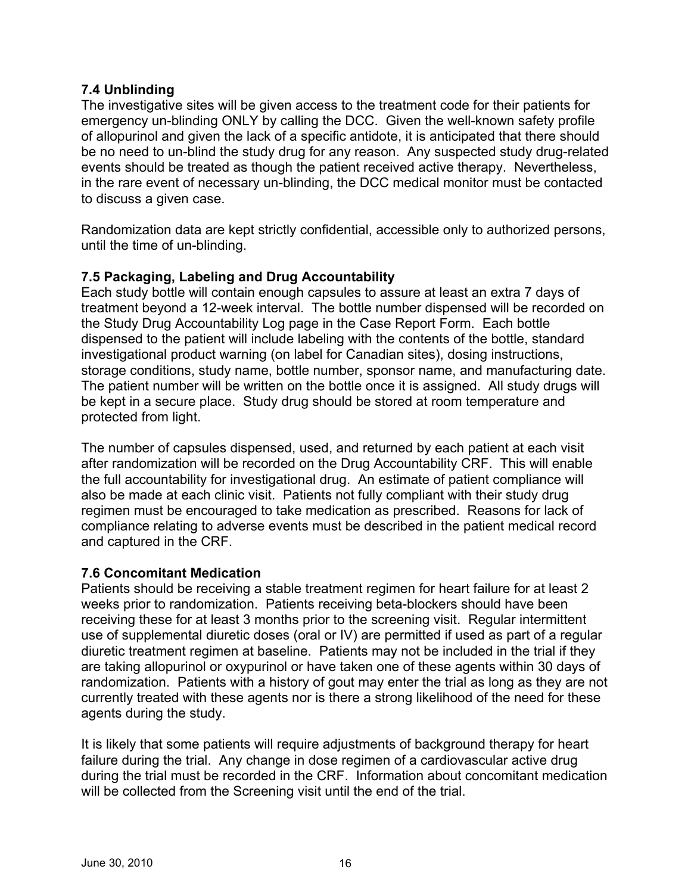### **7.4 Unblinding**

The investigative sites will be given access to the treatment code for their patients for emergency un-blinding ONLY by calling the DCC. Given the well-known safety profile of allopurinol and given the lack of a specific antidote, it is anticipated that there should be no need to un-blind the study drug for any reason. Any suspected study drug-related events should be treated as though the patient received active therapy. Nevertheless, in the rare event of necessary un-blinding, the DCC medical monitor must be contacted to discuss a given case.

Randomization data are kept strictly confidential, accessible only to authorized persons, until the time of un-blinding.

### **7.5 Packaging, Labeling and Drug Accountability**

Each study bottle will contain enough capsules to assure at least an extra 7 days of treatment beyond a 12-week interval. The bottle number dispensed will be recorded on the Study Drug Accountability Log page in the Case Report Form. Each bottle dispensed to the patient will include labeling with the contents of the bottle, standard investigational product warning (on label for Canadian sites), dosing instructions, storage conditions, study name, bottle number, sponsor name, and manufacturing date. The patient number will be written on the bottle once it is assigned. All study drugs will be kept in a secure place. Study drug should be stored at room temperature and protected from light.

The number of capsules dispensed, used, and returned by each patient at each visit after randomization will be recorded on the Drug Accountability CRF. This will enable the full accountability for investigational drug. An estimate of patient compliance will also be made at each clinic visit. Patients not fully compliant with their study drug regimen must be encouraged to take medication as prescribed. Reasons for lack of compliance relating to adverse events must be described in the patient medical record and captured in the CRF.

### **7.6 Concomitant Medication**

Patients should be receiving a stable treatment regimen for heart failure for at least 2 weeks prior to randomization. Patients receiving beta-blockers should have been receiving these for at least 3 months prior to the screening visit. Regular intermittent use of supplemental diuretic doses (oral or IV) are permitted if used as part of a regular diuretic treatment regimen at baseline. Patients may not be included in the trial if they are taking allopurinol or oxypurinol or have taken one of these agents within 30 days of randomization. Patients with a history of gout may enter the trial as long as they are not currently treated with these agents nor is there a strong likelihood of the need for these agents during the study.

It is likely that some patients will require adjustments of background therapy for heart failure during the trial. Any change in dose regimen of a cardiovascular active drug during the trial must be recorded in the CRF. Information about concomitant medication will be collected from the Screening visit until the end of the trial.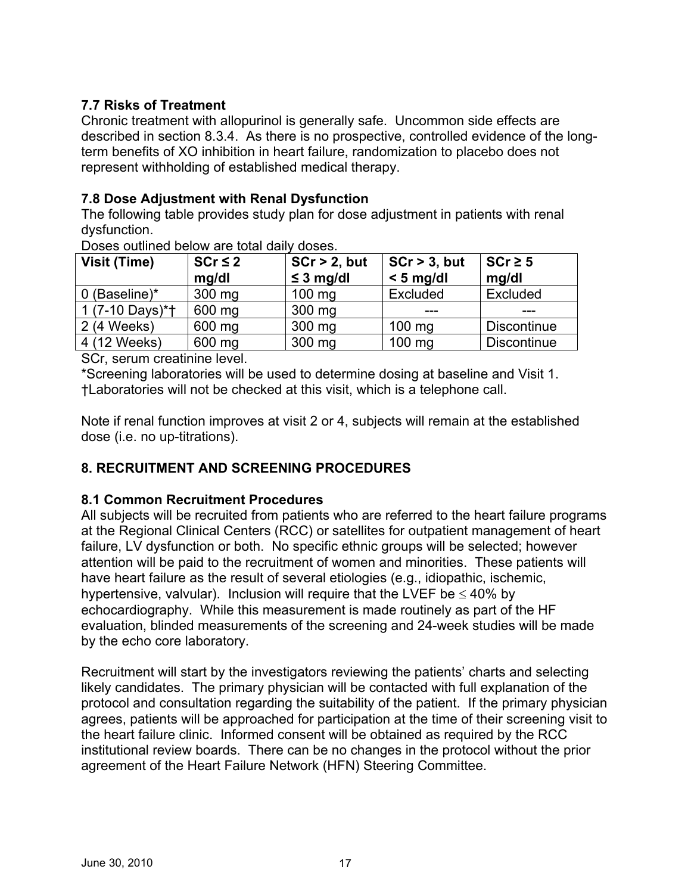## **7.7 Risks of Treatment**

Chronic treatment with allopurinol is generally safe. Uncommon side effects are described in section 8.3.4. As there is no prospective, controlled evidence of the longterm benefits of XO inhibition in heart failure, randomization to placebo does not represent withholding of established medical therapy.

## **7.8 Dose Adjustment with Renal Dysfunction**

The following table provides study plan for dose adjustment in patients with renal dysfunction.

| Visit (Time)    | $SCr \leq 2$ | $SCr > 2$ , but  | $\vert$ SCr > 3, but | $SCr \geq 5$       |  |
|-----------------|--------------|------------------|----------------------|--------------------|--|
|                 | mq/dl        | $\leq$ 3 mg/dl   | $< 5$ mg/dl          | mq/dl              |  |
| 0 (Baseline)*   | $300$ mg     | $100 \text{ mg}$ | Excluded             | Excluded           |  |
| 1 (7-10 Days)*† | 600 mg       | 300 mg           |                      |                    |  |
| 2 (4 Weeks)     | 600 mg       | 300 mg           | $100$ mg             | <b>Discontinue</b> |  |
| 4 (12 Weeks)    | 600 mg       | 300 mg           | $100$ mg             | <b>Discontinue</b> |  |
| $\sim$ $\sim$   |              |                  |                      |                    |  |

Doses outlined below are total daily doses.

SCr, serum creatinine level.

\*Screening laboratories will be used to determine dosing at baseline and Visit 1. †Laboratories will not be checked at this visit, which is a telephone call.

Note if renal function improves at visit 2 or 4, subjects will remain at the established dose (i.e. no up-titrations).

## **8. RECRUITMENT AND SCREENING PROCEDURES**

## **8.1 Common Recruitment Procedures**

All subjects will be recruited from patients who are referred to the heart failure programs at the Regional Clinical Centers (RCC) or satellites for outpatient management of heart failure, LV dysfunction or both. No specific ethnic groups will be selected; however attention will be paid to the recruitment of women and minorities. These patients will have heart failure as the result of several etiologies (e.g., idiopathic, ischemic, hypertensive, valvular). Inclusion will require that the LVEF be  $\leq 40\%$  by echocardiography. While this measurement is made routinely as part of the HF evaluation, blinded measurements of the screening and 24-week studies will be made by the echo core laboratory.

Recruitment will start by the investigators reviewing the patients' charts and selecting likely candidates. The primary physician will be contacted with full explanation of the protocol and consultation regarding the suitability of the patient. If the primary physician agrees, patients will be approached for participation at the time of their screening visit to the heart failure clinic. Informed consent will be obtained as required by the RCC institutional review boards. There can be no changes in the protocol without the prior agreement of the Heart Failure Network (HFN) Steering Committee.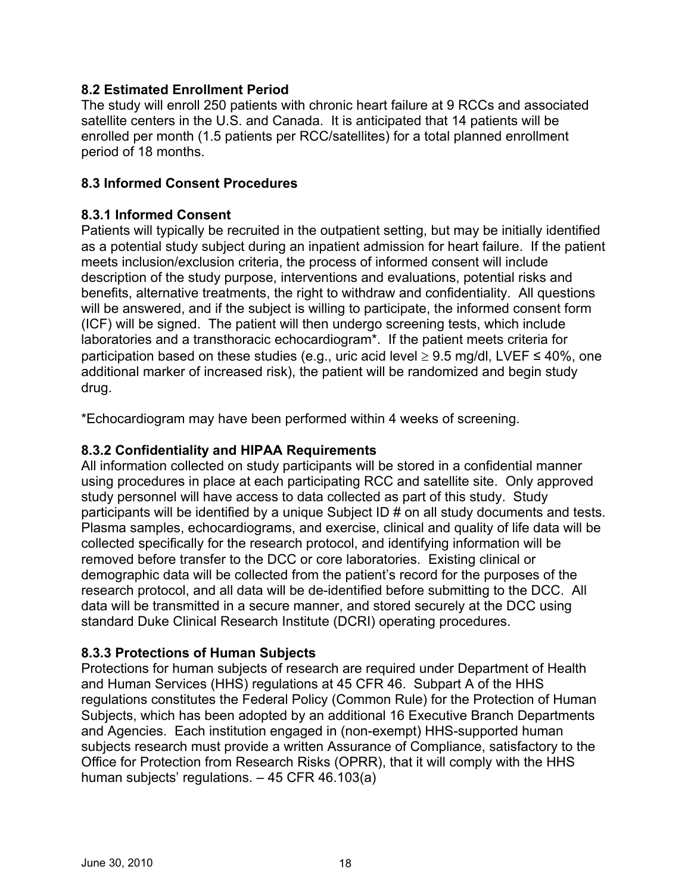### **8.2 Estimated Enrollment Period**

The study will enroll 250 patients with chronic heart failure at 9 RCCs and associated satellite centers in the U.S. and Canada. It is anticipated that 14 patients will be enrolled per month (1.5 patients per RCC/satellites) for a total planned enrollment period of 18 months.

### **8.3 Informed Consent Procedures**

### **8.3.1 Informed Consent**

Patients will typically be recruited in the outpatient setting, but may be initially identified as a potential study subject during an inpatient admission for heart failure. If the patient meets inclusion/exclusion criteria, the process of informed consent will include description of the study purpose, interventions and evaluations, potential risks and benefits, alternative treatments, the right to withdraw and confidentiality. All questions will be answered, and if the subject is willing to participate, the informed consent form (ICF) will be signed. The patient will then undergo screening tests, which include laboratories and a transthoracic echocardiogram\*. If the patient meets criteria for participation based on these studies (e.g., uric acid level  $\geq$  9.5 mg/dl, LVEF  $\leq$  40%, one additional marker of increased risk), the patient will be randomized and begin study drug.

\*Echocardiogram may have been performed within 4 weeks of screening.

### **8.3.2 Confidentiality and HIPAA Requirements**

All information collected on study participants will be stored in a confidential manner using procedures in place at each participating RCC and satellite site. Only approved study personnel will have access to data collected as part of this study. Study participants will be identified by a unique Subject ID # on all study documents and tests. Plasma samples, echocardiograms, and exercise, clinical and quality of life data will be collected specifically for the research protocol, and identifying information will be removed before transfer to the DCC or core laboratories. Existing clinical or demographic data will be collected from the patient's record for the purposes of the research protocol, and all data will be de-identified before submitting to the DCC. All data will be transmitted in a secure manner, and stored securely at the DCC using standard Duke Clinical Research Institute (DCRI) operating procedures.

### **8.3.3 Protections of Human Subjects**

Protections for human subjects of research are required under Department of Health and Human Services (HHS) regulations at 45 CFR 46. Subpart A of the HHS regulations constitutes the Federal Policy (Common Rule) for the Protection of Human Subjects, which has been adopted by an additional 16 Executive Branch Departments and Agencies. Each institution engaged in (non-exempt) HHS-supported human subjects research must provide a written Assurance of Compliance, satisfactory to the Office for Protection from Research Risks (OPRR), that it will comply with the HHS human subjects' regulations. – 45 CFR 46.103(a)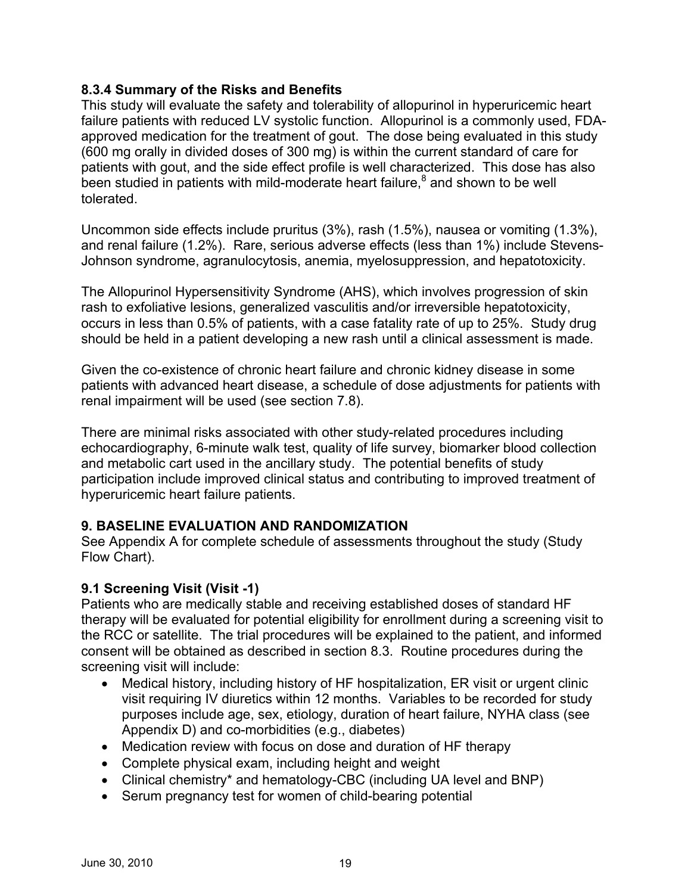### **8.3.4 Summary of the Risks and Benefits**

This study will evaluate the safety and tolerability of allopurinol in hyperuricemic heart failure patients with reduced LV systolic function. Allopurinol is a commonly used, FDAapproved medication for the treatment of gout. The dose being evaluated in this study (600 mg orally in divided doses of 300 mg) is within the current standard of care for patients with gout, and the side effect profile is well characterized. This dose has also been studied in patients with mild-moderate heart failure,<sup>8</sup> and shown to be well tolerated.

Uncommon side effects include pruritus (3%), rash (1.5%), nausea or vomiting (1.3%), and renal failure (1.2%). Rare, serious adverse effects (less than 1%) include Stevens-Johnson syndrome, agranulocytosis, anemia, myelosuppression, and hepatotoxicity.

The Allopurinol Hypersensitivity Syndrome (AHS), which involves progression of skin rash to exfoliative lesions, generalized vasculitis and/or irreversible hepatotoxicity, occurs in less than 0.5% of patients, with a case fatality rate of up to 25%. Study drug should be held in a patient developing a new rash until a clinical assessment is made.

Given the co-existence of chronic heart failure and chronic kidney disease in some patients with advanced heart disease, a schedule of dose adjustments for patients with renal impairment will be used (see section 7.8).

There are minimal risks associated with other study-related procedures including echocardiography, 6-minute walk test, quality of life survey, biomarker blood collection and metabolic cart used in the ancillary study. The potential benefits of study participation include improved clinical status and contributing to improved treatment of hyperuricemic heart failure patients.

## **9. BASELINE EVALUATION AND RANDOMIZATION**

See Appendix A for complete schedule of assessments throughout the study (Study Flow Chart).

## **9.1 Screening Visit (Visit -1)**

Patients who are medically stable and receiving established doses of standard HF therapy will be evaluated for potential eligibility for enrollment during a screening visit to the RCC or satellite. The trial procedures will be explained to the patient, and informed consent will be obtained as described in section 8.3. Routine procedures during the screening visit will include:

- Medical history, including history of HF hospitalization, ER visit or urgent clinic visit requiring IV diuretics within 12 months. Variables to be recorded for study purposes include age, sex, etiology, duration of heart failure, NYHA class (see Appendix D) and co-morbidities (e.g., diabetes)
- Medication review with focus on dose and duration of HF therapy
- Complete physical exam, including height and weight
- Clinical chemistry<sup>\*</sup> and hematology-CBC (including UA level and BNP)
- Serum pregnancy test for women of child-bearing potential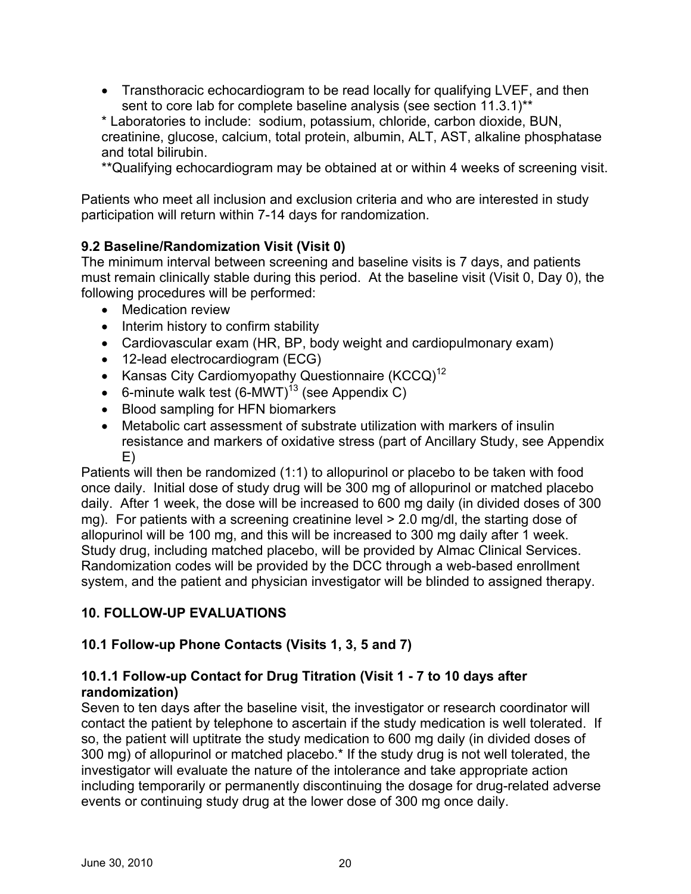• Transthoracic echocardiogram to be read locally for qualifying LVEF, and then sent to core lab for complete baseline analysis (see section 11.3.1)\*\*

\* Laboratories to include: sodium, potassium, chloride, carbon dioxide, BUN, creatinine, glucose, calcium, total protein, albumin, ALT, AST, alkaline phosphatase and total bilirubin.

\*\*Qualifying echocardiogram may be obtained at or within 4 weeks of screening visit.

Patients who meet all inclusion and exclusion criteria and who are interested in study participation will return within 7-14 days for randomization.

## **9.2 Baseline/Randomization Visit (Visit 0)**

The minimum interval between screening and baseline visits is 7 days, and patients must remain clinically stable during this period. At the baseline visit (Visit 0, Day 0), the following procedures will be performed:

- Medication review
- Interim history to confirm stability
- Cardiovascular exam (HR, BP, body weight and cardiopulmonary exam)
- 12-lead electrocardiogram (ECG)
- Kansas City Cardiomyopathy Questionnaire (KCCQ)<sup>12</sup>
- 6-minute walk test  $(6\text{-}MWT)^{13}$  (see Appendix C)
- Blood sampling for HFN biomarkers
- Metabolic cart assessment of substrate utilization with markers of insulin resistance and markers of oxidative stress (part of Ancillary Study, see Appendix E)

Patients will then be randomized (1:1) to allopurinol or placebo to be taken with food once daily. Initial dose of study drug will be 300 mg of allopurinol or matched placebo daily. After 1 week, the dose will be increased to 600 mg daily (in divided doses of 300 mg). For patients with a screening creatinine level > 2.0 mg/dl, the starting dose of allopurinol will be 100 mg, and this will be increased to 300 mg daily after 1 week. Study drug, including matched placebo, will be provided by Almac Clinical Services. Randomization codes will be provided by the DCC through a web-based enrollment system, and the patient and physician investigator will be blinded to assigned therapy.

## **10. FOLLOW-UP EVALUATIONS**

### **10.1 Follow-up Phone Contacts (Visits 1, 3, 5 and 7)**

### **10.1.1 Follow-up Contact for Drug Titration (Visit 1 - 7 to 10 days after randomization)**

Seven to ten days after the baseline visit, the investigator or research coordinator will contact the patient by telephone to ascertain if the study medication is well tolerated. If so, the patient will uptitrate the study medication to 600 mg daily (in divided doses of 300 mg) of allopurinol or matched placebo.\* If the study drug is not well tolerated, the investigator will evaluate the nature of the intolerance and take appropriate action including temporarily or permanently discontinuing the dosage for drug-related adverse events or continuing study drug at the lower dose of 300 mg once daily.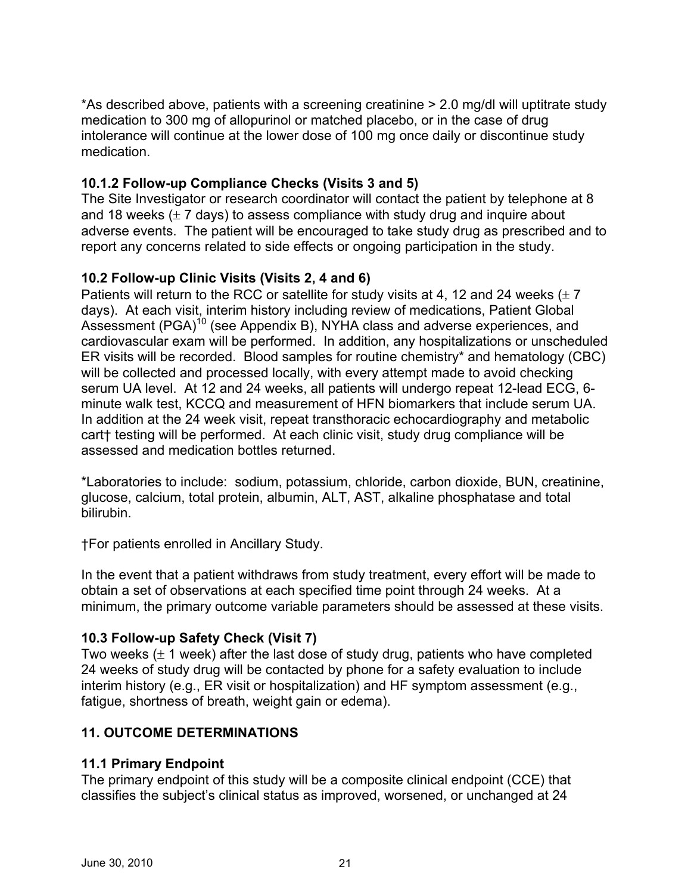\*As described above, patients with a screening creatinine > 2.0 mg/dl will uptitrate study medication to 300 mg of allopurinol or matched placebo, or in the case of drug intolerance will continue at the lower dose of 100 mg once daily or discontinue study medication.

## **10.1.2 Follow-up Compliance Checks (Visits 3 and 5)**

The Site Investigator or research coordinator will contact the patient by telephone at 8 and 18 weeks  $(\pm 7 \text{ days})$  to assess compliance with study drug and inquire about adverse events. The patient will be encouraged to take study drug as prescribed and to report any concerns related to side effects or ongoing participation in the study.

## **10.2 Follow-up Clinic Visits (Visits 2, 4 and 6)**

Patients will return to the RCC or satellite for study visits at 4, 12 and 24 weeks  $(\pm 7)$ days). At each visit, interim history including review of medications, Patient Global Assessment (PGA)<sup>10</sup> (see Appendix B), NYHA class and adverse experiences, and cardiovascular exam will be performed. In addition, any hospitalizations or unscheduled ER visits will be recorded. Blood samples for routine chemistry\* and hematology (CBC) will be collected and processed locally, with every attempt made to avoid checking serum UA level. At 12 and 24 weeks, all patients will undergo repeat 12-lead ECG, 6 minute walk test, KCCQ and measurement of HFN biomarkers that include serum UA. In addition at the 24 week visit, repeat transthoracic echocardiography and metabolic cart† testing will be performed. At each clinic visit, study drug compliance will be assessed and medication bottles returned.

\*Laboratories to include: sodium, potassium, chloride, carbon dioxide, BUN, creatinine, glucose, calcium, total protein, albumin, ALT, AST, alkaline phosphatase and total bilirubin.

†For patients enrolled in Ancillary Study.

In the event that a patient withdraws from study treatment, every effort will be made to obtain a set of observations at each specified time point through 24 weeks. At a minimum, the primary outcome variable parameters should be assessed at these visits.

## **10.3 Follow-up Safety Check (Visit 7)**

Two weeks  $(\pm 1$  week) after the last dose of study drug, patients who have completed 24 weeks of study drug will be contacted by phone for a safety evaluation to include interim history (e.g., ER visit or hospitalization) and HF symptom assessment (e.g., fatigue, shortness of breath, weight gain or edema).

## **11. OUTCOME DETERMINATIONS**

## **11.1 Primary Endpoint**

The primary endpoint of this study will be a composite clinical endpoint (CCE) that classifies the subject's clinical status as improved, worsened, or unchanged at 24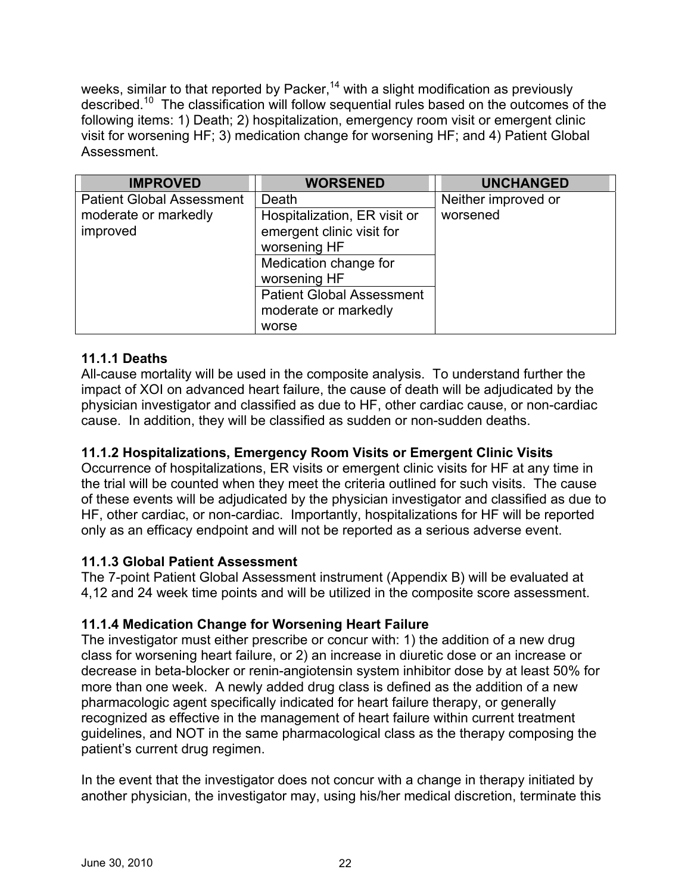weeks, similar to that reported by Packer,<sup>14</sup> with a slight modification as previously described.10 The classification will follow sequential rules based on the outcomes of the following items: 1) Death; 2) hospitalization, emergency room visit or emergent clinic visit for worsening HF; 3) medication change for worsening HF; and 4) Patient Global Assessment.

| <b>IMPROVED</b>                  | <b>WORSENED</b>                  | <b>UNCHANGED</b>    |
|----------------------------------|----------------------------------|---------------------|
| <b>Patient Global Assessment</b> | Death                            | Neither improved or |
| moderate or markedly             | Hospitalization, ER visit or     | worsened            |
| improved                         | emergent clinic visit for        |                     |
|                                  | worsening HF                     |                     |
|                                  | Medication change for            |                     |
|                                  | worsening HF                     |                     |
|                                  | <b>Patient Global Assessment</b> |                     |
|                                  | moderate or markedly             |                     |
|                                  | worse                            |                     |

## **11.1.1 Deaths**

All-cause mortality will be used in the composite analysis. To understand further the impact of XOI on advanced heart failure, the cause of death will be adjudicated by the physician investigator and classified as due to HF, other cardiac cause, or non-cardiac cause. In addition, they will be classified as sudden or non-sudden deaths.

## **11.1.2 Hospitalizations, Emergency Room Visits or Emergent Clinic Visits**

Occurrence of hospitalizations, ER visits or emergent clinic visits for HF at any time in the trial will be counted when they meet the criteria outlined for such visits. The cause of these events will be adjudicated by the physician investigator and classified as due to HF, other cardiac, or non-cardiac. Importantly, hospitalizations for HF will be reported only as an efficacy endpoint and will not be reported as a serious adverse event.

### **11.1.3 Global Patient Assessment**

The 7-point Patient Global Assessment instrument (Appendix B) will be evaluated at 4,12 and 24 week time points and will be utilized in the composite score assessment.

### **11.1.4 Medication Change for Worsening Heart Failure**

The investigator must either prescribe or concur with: 1) the addition of a new drug class for worsening heart failure, or 2) an increase in diuretic dose or an increase or decrease in beta-blocker or renin-angiotensin system inhibitor dose by at least 50% for more than one week. A newly added drug class is defined as the addition of a new pharmacologic agent specifically indicated for heart failure therapy, or generally recognized as effective in the management of heart failure within current treatment guidelines, and NOT in the same pharmacological class as the therapy composing the patient's current drug regimen.

In the event that the investigator does not concur with a change in therapy initiated by another physician, the investigator may, using his/her medical discretion, terminate this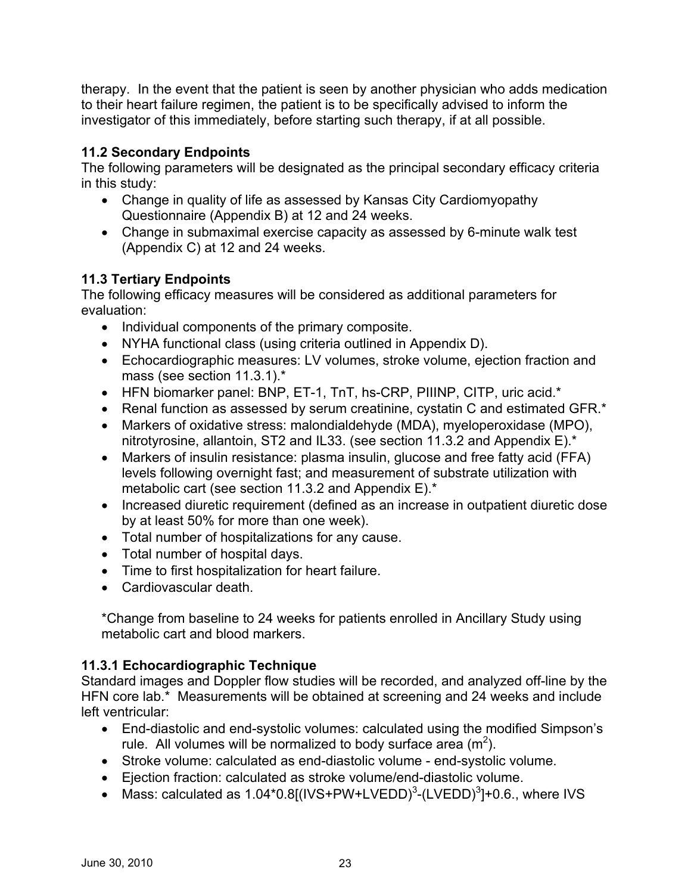therapy. In the event that the patient is seen by another physician who adds medication to their heart failure regimen, the patient is to be specifically advised to inform the investigator of this immediately, before starting such therapy, if at all possible.

## **11.2 Secondary Endpoints**

The following parameters will be designated as the principal secondary efficacy criteria in this study:

- Change in quality of life as assessed by Kansas City Cardiomyopathy Questionnaire (Appendix B) at 12 and 24 weeks.
- Change in submaximal exercise capacity as assessed by 6-minute walk test (Appendix C) at 12 and 24 weeks.

## **11.3 Tertiary Endpoints**

The following efficacy measures will be considered as additional parameters for evaluation:

- Individual components of the primary composite.
- • NYHA functional class (using criteria outlined in Appendix D).
- Echocardiographic measures: LV volumes, stroke volume, ejection fraction and mass (see section 11.3.1).\*
- HFN biomarker panel: BNP, ET-1, TnT, hs-CRP, PIIINP, CITP, uric acid.\*
- Renal function as assessed by serum creatinine, cystatin C and estimated GFR.\*
- Markers of oxidative stress: malondialdehyde (MDA), myeloperoxidase (MPO), nitrotyrosine, allantoin, ST2 and IL33. (see section 11.3.2 and Appendix E).\*
- Markers of insulin resistance: plasma insulin, glucose and free fatty acid (FFA) levels following overnight fast; and measurement of substrate utilization with metabolic cart (see section 11.3.2 and Appendix E).\*
- Increased diuretic requirement (defined as an increase in outpatient diuretic dose by at least 50% for more than one week).
- Total number of hospitalizations for any cause.
- • Total number of hospital days.
- Time to first hospitalization for heart failure.
- Cardiovascular death.

\*Change from baseline to 24 weeks for patients enrolled in Ancillary Study using metabolic cart and blood markers.

## **11.3.1 Echocardiographic Technique**

Standard images and Doppler flow studies will be recorded, and analyzed off-line by the HFN core lab.\* Measurements will be obtained at screening and 24 weeks and include left ventricular:

- End-diastolic and end-systolic volumes: calculated using the modified Simpson's rule. All volumes will be normalized to body surface area  $(m^2)$ .
- Stroke volume: calculated as end-diastolic volume end-systolic volume.
- • Ejection fraction: calculated as stroke volume/end-diastolic volume.
- Mass: calculated as  $1.04*0.8$ [(IVS+PW+LVEDD)<sup>3</sup>-(LVEDD)<sup>3</sup>]+0.6., where IVS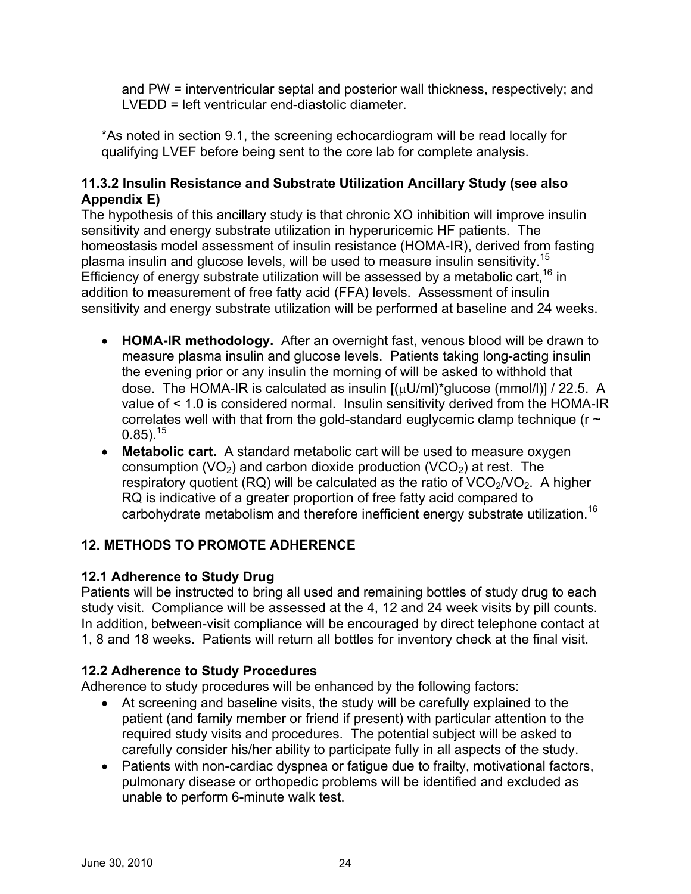and PW = interventricular septal and posterior wall thickness, respectively; and LVEDD = left ventricular end-diastolic diameter.

\*As noted in section 9.1, the screening echocardiogram will be read locally for qualifying LVEF before being sent to the core lab for complete analysis.

## **11.3.2 Insulin Resistance and Substrate Utilization Ancillary Study (see also Appendix E)**

plasma insulin and glucose levels, will be used to measure insulin sensitivity.<sup>15</sup> The hypothesis of this ancillary study is that chronic XO inhibition will improve insulin sensitivity and energy substrate utilization in hyperuricemic HF patients. The homeostasis model assessment of insulin resistance (HOMA-IR), derived from fasting Efficiency of energy substrate utilization will be assessed by a metabolic cart,  $16$  in addition to measurement of free fatty acid (FFA) levels. Assessment of insulin sensitivity and energy substrate utilization will be performed at baseline and 24 weeks.

- $0.85)$ .  $^{15}$ • **HOMA-IR methodology.** After an overnight fast, venous blood will be drawn to measure plasma insulin and glucose levels. Patients taking long-acting insulin the evening prior or any insulin the morning of will be asked to withhold that dose. The HOMA-IR is calculated as insulin [(μU/ml)\*glucose (mmol/l)] / 22.5. A value of < 1.0 is considered normal. Insulin sensitivity derived from the HOMA-IR correlates well with that from the gold-standard euglycemic clamp technique ( $r \sim$
- carbohydrate metabolism and therefore inefficient energy substrate utilization.<sup>16</sup> • **Metabolic cart.** A standard metabolic cart will be used to measure oxygen consumption (VO<sub>2</sub>) and carbon dioxide production (VCO<sub>2</sub>) at rest. The respiratory quotient (RQ) will be calculated as the ratio of  $VCO<sub>2</sub>/VO<sub>2</sub>$ . A higher RQ is indicative of a greater proportion of free fatty acid compared to

## **12. METHODS TO PROMOTE ADHERENCE**

## **12.1 Adherence to Study Drug**

Patients will be instructed to bring all used and remaining bottles of study drug to each study visit. Compliance will be assessed at the 4, 12 and 24 week visits by pill counts. In addition, between-visit compliance will be encouraged by direct telephone contact at 1, 8 and 18 weeks. Patients will return all bottles for inventory check at the final visit.

## **12.2 Adherence to Study Procedures**

Adherence to study procedures will be enhanced by the following factors:

- At screening and baseline visits, the study will be carefully explained to the patient (and family member or friend if present) with particular attention to the required study visits and procedures. The potential subject will be asked to carefully consider his/her ability to participate fully in all aspects of the study.
- Patients with non-cardiac dyspnea or fatique due to frailty, motivational factors, pulmonary disease or orthopedic problems will be identified and excluded as unable to perform 6-minute walk test.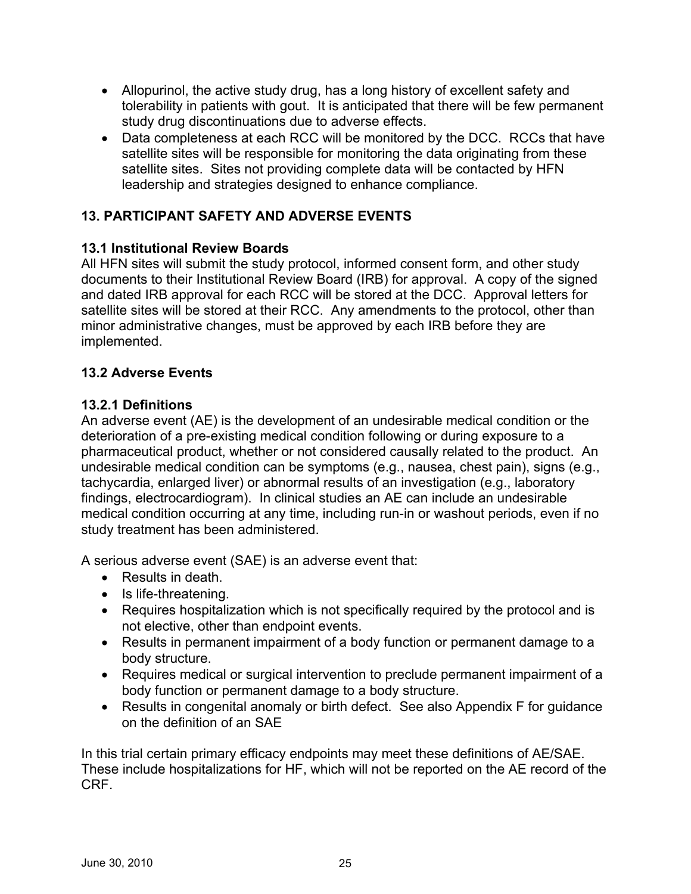- Allopurinol, the active study drug, has a long history of excellent safety and tolerability in patients with gout. It is anticipated that there will be few permanent study drug discontinuations due to adverse effects.
- Data completeness at each RCC will be monitored by the DCC. RCCs that have satellite sites will be responsible for monitoring the data originating from these satellite sites. Sites not providing complete data will be contacted by HFN leadership and strategies designed to enhance compliance.

## **13. PARTICIPANT SAFETY AND ADVERSE EVENTS**

## **13.1 Institutional Review Boards**

All HFN sites will submit the study protocol, informed consent form, and other study documents to their Institutional Review Board (IRB) for approval. A copy of the signed and dated IRB approval for each RCC will be stored at the DCC. Approval letters for satellite sites will be stored at their RCC. Any amendments to the protocol, other than minor administrative changes, must be approved by each IRB before they are implemented.

## **13.2 Adverse Events**

## **13.2.1 Definitions**

An adverse event (AE) is the development of an undesirable medical condition or the deterioration of a pre-existing medical condition following or during exposure to a pharmaceutical product, whether or not considered causally related to the product. An undesirable medical condition can be symptoms (e.g., nausea, chest pain), signs (e.g., tachycardia, enlarged liver) or abnormal results of an investigation (e.g., laboratory findings, electrocardiogram). In clinical studies an AE can include an undesirable medical condition occurring at any time, including run-in or washout periods, even if no study treatment has been administered.

A serious adverse event (SAE) is an adverse event that:

- • Results in death.
- Is life-threatening.
- Requires hospitalization which is not specifically required by the protocol and is not elective, other than endpoint events.
- Results in permanent impairment of a body function or permanent damage to a body structure.
- Requires medical or surgical intervention to preclude permanent impairment of a body function or permanent damage to a body structure.
- Results in congenital anomaly or birth defect. See also Appendix F for guidance on the definition of an SAE

In this trial certain primary efficacy endpoints may meet these definitions of AE/SAE. These include hospitalizations for HF, which will not be reported on the AE record of the CRF.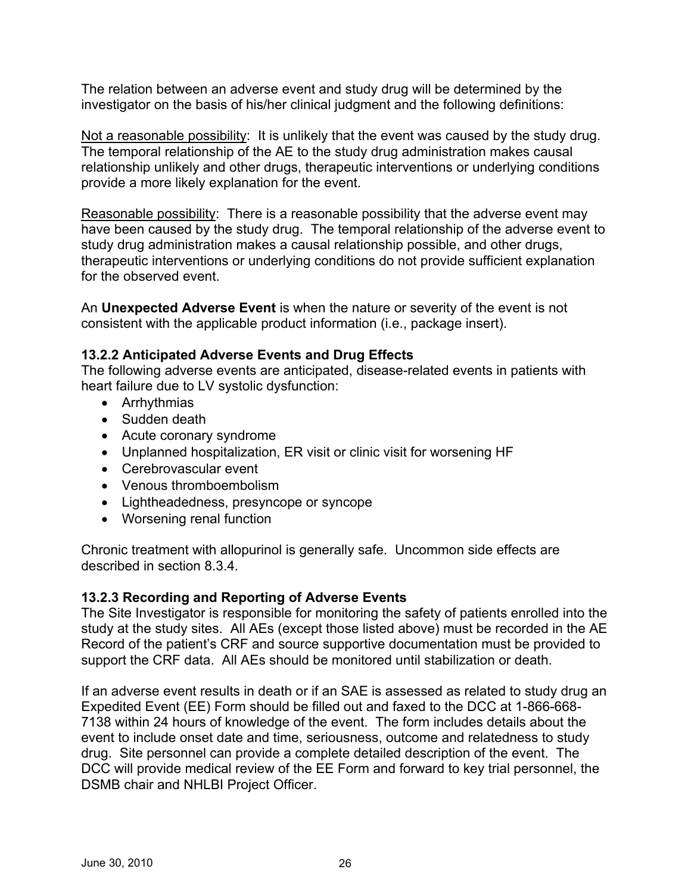The relation between an adverse event and study drug will be determined by the investigator on the basis of his/her clinical judgment and the following definitions:

Not a reasonable possibility: It is unlikely that the event was caused by the study drug. The temporal relationship of the AE to the study drug administration makes causal relationship unlikely and other drugs, therapeutic interventions or underlying conditions provide a more likely explanation for the event.

Reasonable possibility: There is a reasonable possibility that the adverse event may have been caused by the study drug. The temporal relationship of the adverse event to study drug administration makes a causal relationship possible, and other drugs, therapeutic interventions or underlying conditions do not provide sufficient explanation for the observed event.

An **Unexpected Adverse Event** is when the nature or severity of the event is not consistent with the applicable product information (i.e., package insert).

### **13.2.2 Anticipated Adverse Events and Drug Effects**

The following adverse events are anticipated, disease-related events in patients with heart failure due to LV systolic dysfunction:

- Arrhythmias
- Sudden death
- Acute coronary syndrome
- Unplanned hospitalization, ER visit or clinic visit for worsening HF
- Cerebrovascular event
- Venous thromboembolism
- Lightheadedness, presyncope or syncope
- Worsening renal function

Chronic treatment with allopurinol is generally safe. Uncommon side effects are described in section 8.3.4.

## **13.2.3 Recording and Reporting of Adverse Events**

The Site Investigator is responsible for monitoring the safety of patients enrolled into the study at the study sites. All AEs (except those listed above) must be recorded in the AE Record of the patient's CRF and source supportive documentation must be provided to support the CRF data. All AEs should be monitored until stabilization or death.

If an adverse event results in death or if an SAE is assessed as related to study drug an Expedited Event (EE) Form should be filled out and faxed to the DCC at 1-866-668- 7138 within 24 hours of knowledge of the event. The form includes details about the event to include onset date and time, seriousness, outcome and relatedness to study drug. Site personnel can provide a complete detailed description of the event. The DCC will provide medical review of the EE Form and forward to key trial personnel, the DSMB chair and NHLBI Project Officer.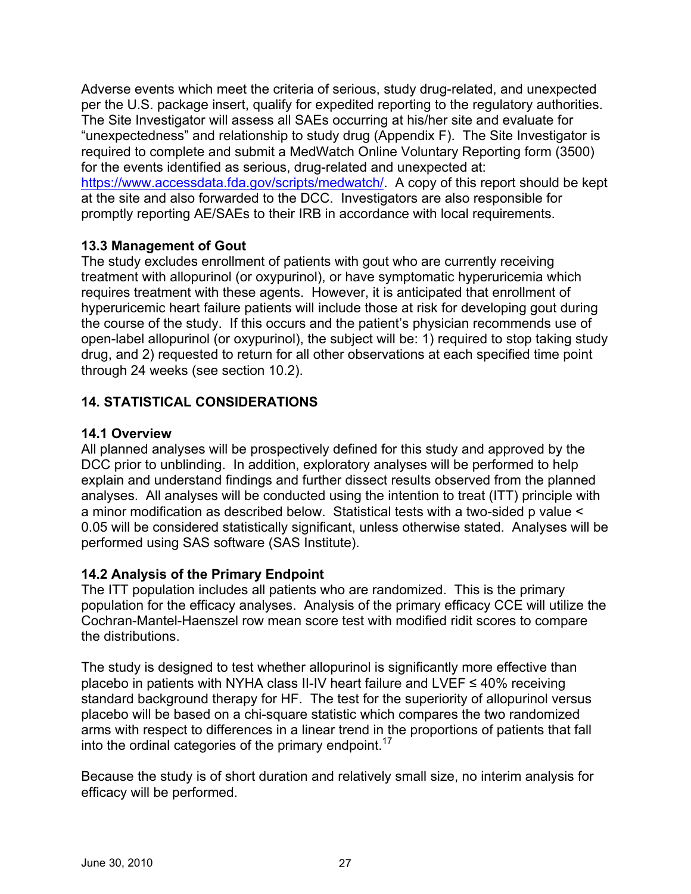Adverse events which meet the criteria of serious, study drug-related, and unexpected per the U.S. package insert, qualify for expedited reporting to the regulatory authorities. The Site Investigator will assess all SAEs occurring at his/her site and evaluate for "unexpectedness" and relationship to study drug (Appendix F). The Site Investigator is required to complete and submit a MedWatch Online Voluntary Reporting form (3500) for the events identified as serious, drug-related and unexpected at: <https://www.accessdata.fda.gov/scripts/medwatch/>. A copy of this report should be kept at the site and also forwarded to the DCC. Investigators are also responsible for promptly reporting AE/SAEs to their IRB in accordance with local requirements.

### **13.3 Management of Gout**

The study excludes enrollment of patients with gout who are currently receiving treatment with allopurinol (or oxypurinol), or have symptomatic hyperuricemia which requires treatment with these agents. However, it is anticipated that enrollment of hyperuricemic heart failure patients will include those at risk for developing gout during the course of the study. If this occurs and the patient's physician recommends use of open-label allopurinol (or oxypurinol), the subject will be: 1) required to stop taking study drug, and 2) requested to return for all other observations at each specified time point through 24 weeks (see section 10.2).

## **14. STATISTICAL CONSIDERATIONS**

### **14.1 Overview**

All planned analyses will be prospectively defined for this study and approved by the DCC prior to unblinding. In addition, exploratory analyses will be performed to help explain and understand findings and further dissect results observed from the planned analyses. All analyses will be conducted using the intention to treat (ITT) principle with a minor modification as described below. Statistical tests with a two-sided p value < 0.05 will be considered statistically significant, unless otherwise stated. Analyses will be performed using SAS software (SAS Institute).

## **14.2 Analysis of the Primary Endpoint**

The ITT population includes all patients who are randomized. This is the primary population for the efficacy analyses. Analysis of the primary efficacy CCE will utilize the Cochran-Mantel-Haenszel row mean score test with modified ridit scores to compare the distributions.

The study is designed to test whether allopurinol is significantly more effective than placebo in patients with NYHA class II-IV heart failure and LVEF  $\leq 40\%$  receiving standard background therapy for HF. The test for the superiority of allopurinol versus placebo will be based on a chi-square statistic which compares the two randomized arms with respect to differences in a linear trend in the proportions of patients that fall into the ordinal categories of the primary endpoint.<sup>17</sup>

Because the study is of short duration and relatively small size, no interim analysis for efficacy will be performed.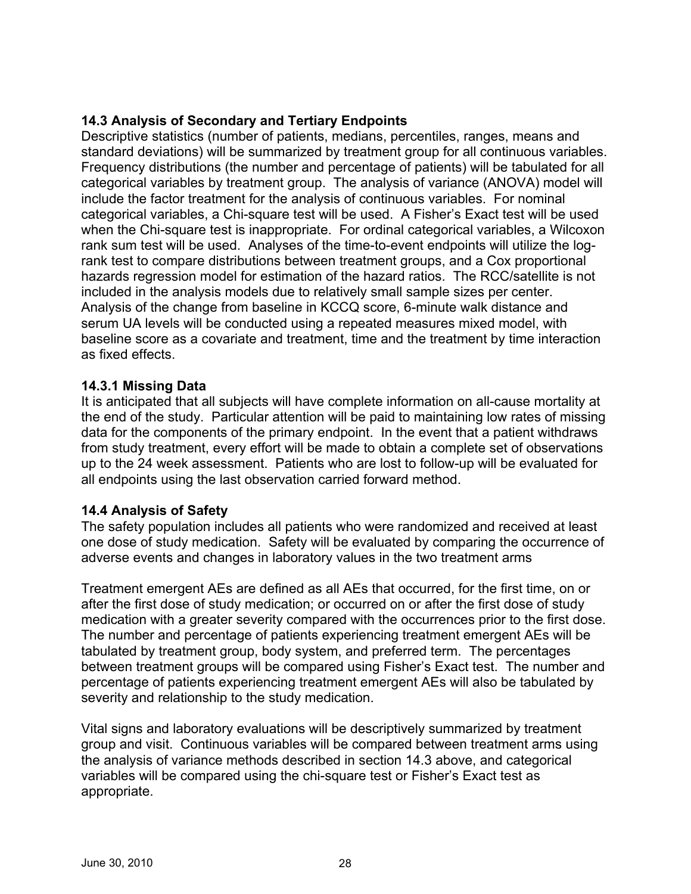## **14.3 Analysis of Secondary and Tertiary Endpoints**

Descriptive statistics (number of patients, medians, percentiles, ranges, means and standard deviations) will be summarized by treatment group for all continuous variables. Frequency distributions (the number and percentage of patients) will be tabulated for all categorical variables by treatment group. The analysis of variance (ANOVA) model will include the factor treatment for the analysis of continuous variables. For nominal categorical variables, a Chi-square test will be used. A Fisher's Exact test will be used when the Chi-square test is inappropriate. For ordinal categorical variables, a Wilcoxon rank sum test will be used. Analyses of the time-to-event endpoints will utilize the logrank test to compare distributions between treatment groups, and a Cox proportional hazards regression model for estimation of the hazard ratios. The RCC/satellite is not included in the analysis models due to relatively small sample sizes per center. Analysis of the change from baseline in KCCQ score, 6-minute walk distance and serum UA levels will be conducted using a repeated measures mixed model, with baseline score as a covariate and treatment, time and the treatment by time interaction as fixed effects.

### **14.3.1 Missing Data**

It is anticipated that all subjects will have complete information on all-cause mortality at the end of the study. Particular attention will be paid to maintaining low rates of missing data for the components of the primary endpoint. In the event that a patient withdraws from study treatment, every effort will be made to obtain a complete set of observations up to the 24 week assessment. Patients who are lost to follow-up will be evaluated for all endpoints using the last observation carried forward method.

#### **14.4 Analysis of Safety**

The safety population includes all patients who were randomized and received at least one dose of study medication. Safety will be evaluated by comparing the occurrence of adverse events and changes in laboratory values in the two treatment arms

Treatment emergent AEs are defined as all AEs that occurred, for the first time, on or after the first dose of study medication; or occurred on or after the first dose of study medication with a greater severity compared with the occurrences prior to the first dose. The number and percentage of patients experiencing treatment emergent AEs will be tabulated by treatment group, body system, and preferred term. The percentages between treatment groups will be compared using Fisher's Exact test. The number and percentage of patients experiencing treatment emergent AEs will also be tabulated by severity and relationship to the study medication.

Vital signs and laboratory evaluations will be descriptively summarized by treatment group and visit. Continuous variables will be compared between treatment arms using the analysis of variance methods described in section 14.3 above, and categorical variables will be compared using the chi-square test or Fisher's Exact test as appropriate.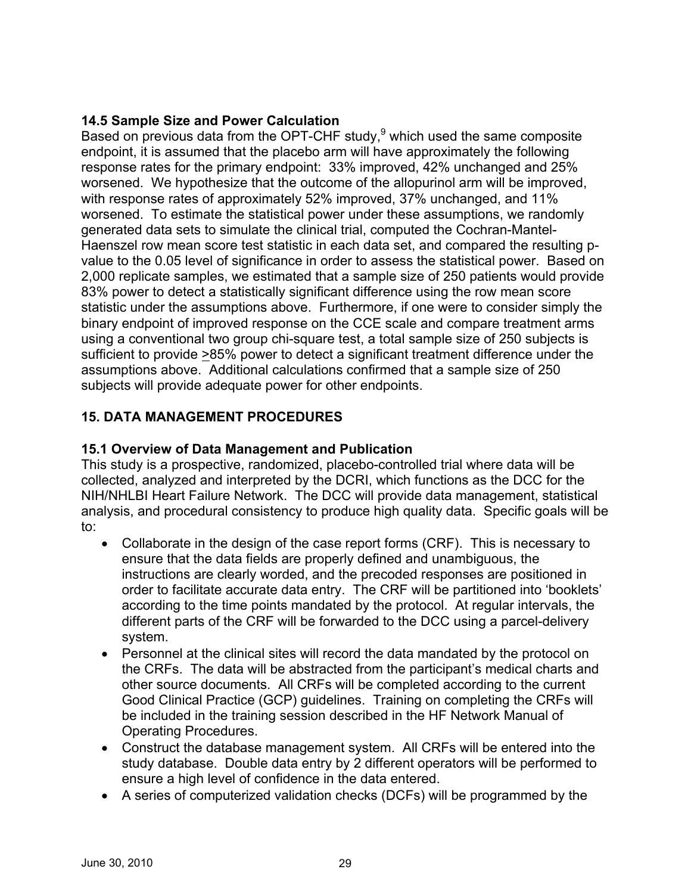## **14.5 Sample Size and Power Calculation**

Based on previous data from the OPT-CHF study, $9$  which used the same composite endpoint, it is assumed that the placebo arm will have approximately the following response rates for the primary endpoint: 33% improved, 42% unchanged and 25% worsened. We hypothesize that the outcome of the allopurinol arm will be improved, with response rates of approximately 52% improved, 37% unchanged, and 11% worsened. To estimate the statistical power under these assumptions, we randomly generated data sets to simulate the clinical trial, computed the Cochran-Mantel-Haenszel row mean score test statistic in each data set, and compared the resulting pvalue to the 0.05 level of significance in order to assess the statistical power. Based on 2,000 replicate samples, we estimated that a sample size of 250 patients would provide 83% power to detect a statistically significant difference using the row mean score statistic under the assumptions above. Furthermore, if one were to consider simply the binary endpoint of improved response on the CCE scale and compare treatment arms using a conventional two group chi-square test, a total sample size of 250 subjects is sufficient to provide >85% power to detect a significant treatment difference under the assumptions above. Additional calculations confirmed that a sample size of 250 subjects will provide adequate power for other endpoints.

## **15. DATA MANAGEMENT PROCEDURES**

## **15.1 Overview of Data Management and Publication**

This study is a prospective, randomized, placebo-controlled trial where data will be collected, analyzed and interpreted by the DCRI, which functions as the DCC for the NIH/NHLBI Heart Failure Network. The DCC will provide data management, statistical analysis, and procedural consistency to produce high quality data. Specific goals will be to:

- Collaborate in the design of the case report forms (CRF). This is necessary to ensure that the data fields are properly defined and unambiguous, the instructions are clearly worded, and the precoded responses are positioned in order to facilitate accurate data entry. The CRF will be partitioned into 'booklets' according to the time points mandated by the protocol. At regular intervals, the different parts of the CRF will be forwarded to the DCC using a parcel-delivery system.
- Personnel at the clinical sites will record the data mandated by the protocol on the CRFs. The data will be abstracted from the participant's medical charts and other source documents. All CRFs will be completed according to the current Good Clinical Practice (GCP) guidelines. Training on completing the CRFs will be included in the training session described in the HF Network Manual of Operating Procedures.
- • Construct the database management system. All CRFs will be entered into the study database. Double data entry by 2 different operators will be performed to ensure a high level of confidence in the data entered.
- A series of computerized validation checks (DCFs) will be programmed by the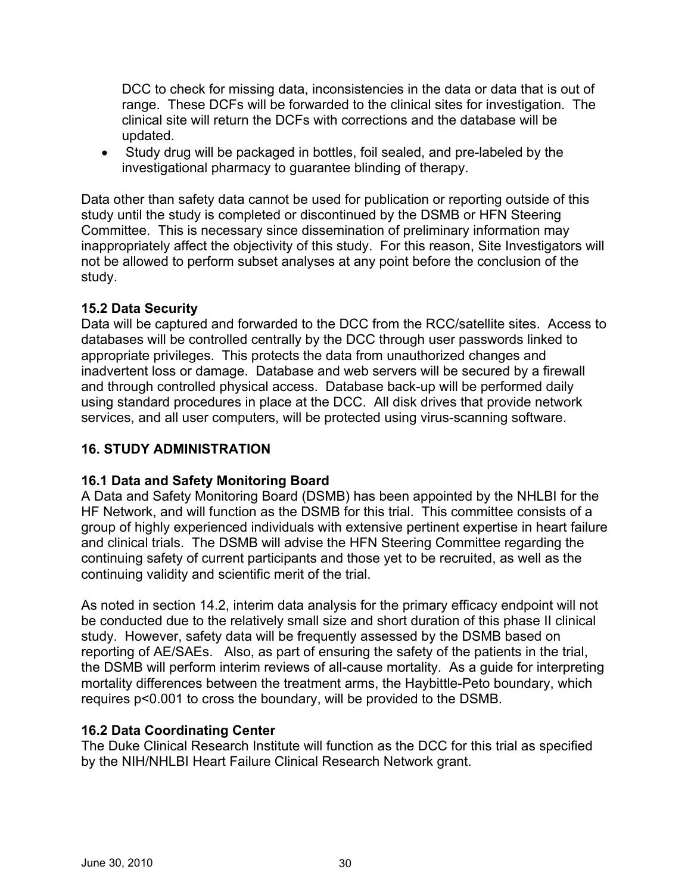DCC to check for missing data, inconsistencies in the data or data that is out of range. These DCFs will be forwarded to the clinical sites for investigation. The clinical site will return the DCFs with corrections and the database will be updated.

• Study drug will be packaged in bottles, foil sealed, and pre-labeled by the investigational pharmacy to guarantee blinding of therapy.

Data other than safety data cannot be used for publication or reporting outside of this study until the study is completed or discontinued by the DSMB or HFN Steering Committee. This is necessary since dissemination of preliminary information may inappropriately affect the objectivity of this study. For this reason, Site Investigators will not be allowed to perform subset analyses at any point before the conclusion of the study.

### **15.2 Data Security**

Data will be captured and forwarded to the DCC from the RCC/satellite sites. Access to databases will be controlled centrally by the DCC through user passwords linked to appropriate privileges. This protects the data from unauthorized changes and inadvertent loss or damage. Database and web servers will be secured by a firewall and through controlled physical access. Database back-up will be performed daily using standard procedures in place at the DCC. All disk drives that provide network services, and all user computers, will be protected using virus-scanning software.

## **16. STUDY ADMINISTRATION**

## **16.1 Data and Safety Monitoring Board**

A Data and Safety Monitoring Board (DSMB) has been appointed by the NHLBI for the HF Network, and will function as the DSMB for this trial. This committee consists of a group of highly experienced individuals with extensive pertinent expertise in heart failure and clinical trials. The DSMB will advise the HFN Steering Committee regarding the continuing safety of current participants and those yet to be recruited, as well as the continuing validity and scientific merit of the trial.

As noted in section 14.2, interim data analysis for the primary efficacy endpoint will not be conducted due to the relatively small size and short duration of this phase II clinical study. However, safety data will be frequently assessed by the DSMB based on reporting of AE/SAEs. Also, as part of ensuring the safety of the patients in the trial, the DSMB will perform interim reviews of all-cause mortality. As a guide for interpreting mortality differences between the treatment arms, the Haybittle-Peto boundary, which requires p<0.001 to cross the boundary, will be provided to the DSMB.

### **16.2 Data Coordinating Center**

The Duke Clinical Research Institute will function as the DCC for this trial as specified by the NIH/NHLBI Heart Failure Clinical Research Network grant.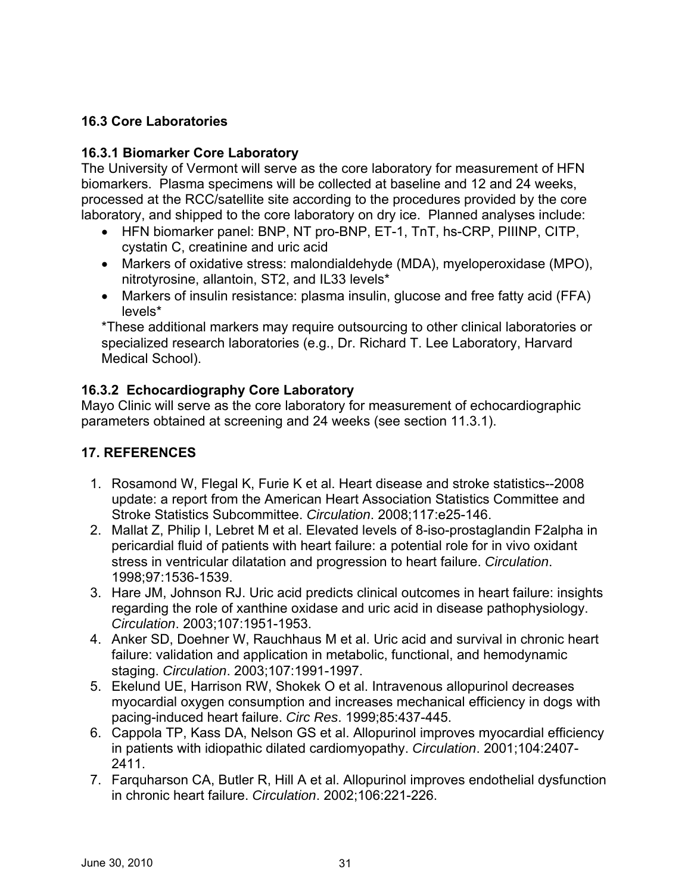## **16.3 Core Laboratories**

## **16.3.1 Biomarker Core Laboratory**

The University of Vermont will serve as the core laboratory for measurement of HFN biomarkers. Plasma specimens will be collected at baseline and 12 and 24 weeks, processed at the RCC/satellite site according to the procedures provided by the core laboratory, and shipped to the core laboratory on dry ice. Planned analyses include:

- HFN biomarker panel: BNP, NT pro-BNP, ET-1, TnT, hs-CRP, PIIINP, CITP, cystatin C, creatinine and uric acid
- Markers of oxidative stress: malondialdehyde (MDA), myeloperoxidase (MPO), nitrotyrosine, allantoin, ST2, and IL33 levels\*
- Markers of insulin resistance: plasma insulin, glucose and free fatty acid (FFA) levels\*

\*These additional markers may require outsourcing to other clinical laboratories or specialized research laboratories (e.g., Dr. Richard T. Lee Laboratory, Harvard Medical School).

## **16.3.2 Echocardiography Core Laboratory**

Mayo Clinic will serve as the core laboratory for measurement of echocardiographic parameters obtained at screening and 24 weeks (see section 11.3.1).

## **17. REFERENCES**

- 1. Rosamond W, Flegal K, Furie K et al. Heart disease and stroke statistics--2008 update: a report from the American Heart Association Statistics Committee and Stroke Statistics Subcommittee. *Circulation*. 2008;117:e25-146.
- 2. Mallat Z, Philip I, Lebret M et al. Elevated levels of 8-iso-prostaglandin F2alpha in pericardial fluid of patients with heart failure: a potential role for in vivo oxidant stress in ventricular dilatation and progression to heart failure. *Circulation*. 1998;97:1536-1539.
- 3. Hare JM, Johnson RJ. Uric acid predicts clinical outcomes in heart failure: insights regarding the role of xanthine oxidase and uric acid in disease pathophysiology. *Circulation*. 2003;107:1951-1953.
- 4. Anker SD, Doehner W, Rauchhaus M et al. Uric acid and survival in chronic heart failure: validation and application in metabolic, functional, and hemodynamic staging. *Circulation*. 2003;107:1991-1997.
- 5. Ekelund UE, Harrison RW, Shokek O et al. Intravenous allopurinol decreases myocardial oxygen consumption and increases mechanical efficiency in dogs with pacing-induced heart failure. *Circ Res*. 1999;85:437-445.
- 6. Cappola TP, Kass DA, Nelson GS et al. Allopurinol improves myocardial efficiency in patients with idiopathic dilated cardiomyopathy. *Circulation*. 2001;104:2407- 2411.
- 7. Farquharson CA, Butler R, Hill A et al. Allopurinol improves endothelial dysfunction in chronic heart failure. *Circulation*. 2002;106:221-226.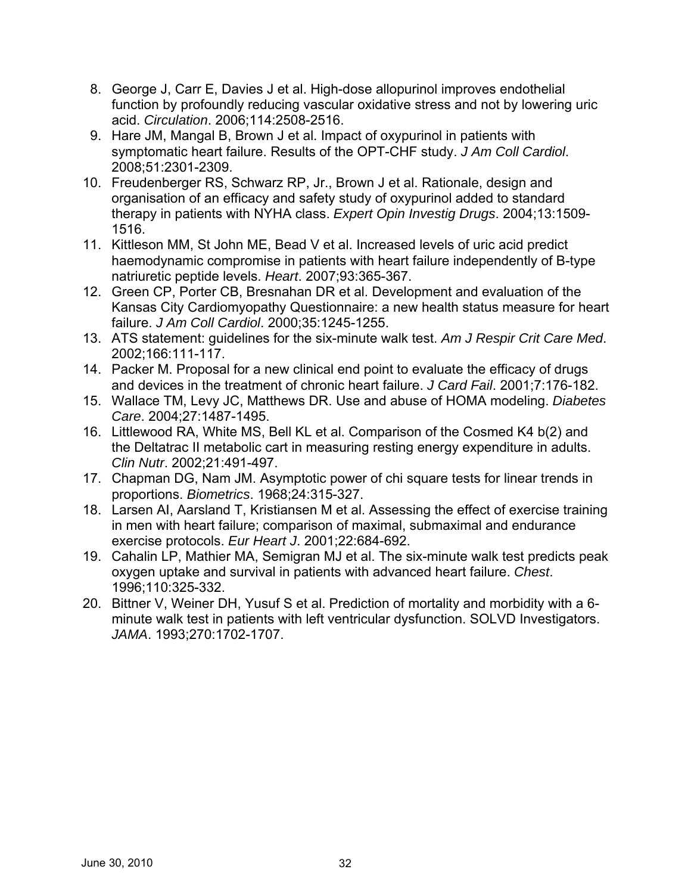- 8. George J, Carr E, Davies J et al. High-dose allopurinol improves endothelial function by profoundly reducing vascular oxidative stress and not by lowering uric acid. *Circulation*. 2006;114:2508-2516.
- 9. Hare JM, Mangal B, Brown J et al. Impact of oxypurinol in patients with symptomatic heart failure. Results of the OPT-CHF study. *J Am Coll Cardiol*. 2008;51:2301-2309.
- 10. Freudenberger RS, Schwarz RP, Jr., Brown J et al. Rationale, design and organisation of an efficacy and safety study of oxypurinol added to standard therapy in patients with NYHA class. *Expert Opin Investig Drugs*. 2004;13:1509- 1516.
- 11. Kittleson MM, St John ME, Bead V et al. Increased levels of uric acid predict haemodynamic compromise in patients with heart failure independently of B-type natriuretic peptide levels. *Heart*. 2007;93:365-367.
- 12. Green CP, Porter CB, Bresnahan DR et al. Development and evaluation of the Kansas City Cardiomyopathy Questionnaire: a new health status measure for heart failure. *J Am Coll Cardiol*. 2000;35:1245-1255.
- 13. ATS statement: guidelines for the six-minute walk test. *Am J Respir Crit Care Med*. 2002;166:111-117.
- 14. Packer M. Proposal for a new clinical end point to evaluate the efficacy of drugs and devices in the treatment of chronic heart failure. *J Card Fail*. 2001;7:176-182.
- 15. Wallace TM, Levy JC, Matthews DR. Use and abuse of HOMA modeling. *Diabetes Care*. 2004;27:1487-1495.
- 16. Littlewood RA, White MS, Bell KL et al. Comparison of the Cosmed K4 b(2) and the Deltatrac II metabolic cart in measuring resting energy expenditure in adults. *Clin Nutr*. 2002;21:491-497.
- 17. Chapman DG, Nam JM. Asymptotic power of chi square tests for linear trends in proportions. *Biometrics*. 1968;24:315-327.
- 18. Larsen AI, Aarsland T, Kristiansen M et al. Assessing the effect of exercise training in men with heart failure; comparison of maximal, submaximal and endurance exercise protocols. *Eur Heart J*. 2001;22:684-692.
- 19. Cahalin LP, Mathier MA, Semigran MJ et al. The six-minute walk test predicts peak oxygen uptake and survival in patients with advanced heart failure. *Chest*. 1996;110:325-332.
- 20. Bittner V, Weiner DH, Yusuf S et al. Prediction of mortality and morbidity with a 6 minute walk test in patients with left ventricular dysfunction. SOLVD Investigators. *JAMA*. 1993;270:1702-1707.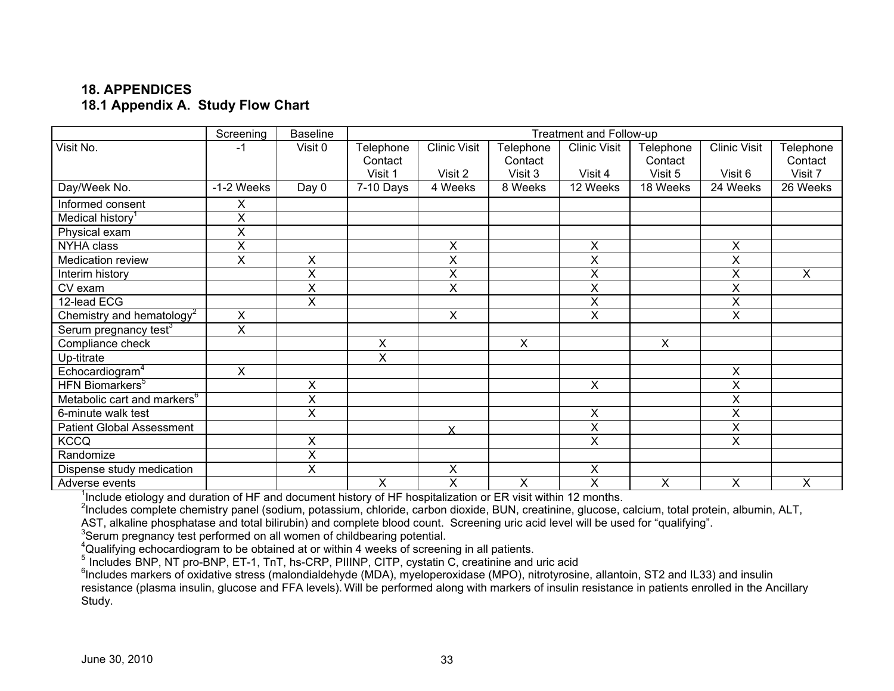## **18. APPENDICES 18.1 Appendix A. Study Flow Chart**

|                                         | Screening  | <b>Baseline</b>           |           |                     |           | Treatment and Follow-up |           |                           |                |
|-----------------------------------------|------------|---------------------------|-----------|---------------------|-----------|-------------------------|-----------|---------------------------|----------------|
| Visit No.                               | $-1$       | Visit 0                   | Telephone | <b>Clinic Visit</b> | Telephone | <b>Clinic Visit</b>     | Telephone | <b>Clinic Visit</b>       | Telephone      |
|                                         |            |                           | Contact   |                     | Contact   |                         | Contact   |                           | Contact        |
|                                         |            |                           | Visit 1   | Visit 2             | Visit 3   | Visit 4                 | Visit 5   | Visit 6                   | Visit 7        |
| Day/Week No.                            | -1-2 Weeks | Day 0                     | 7-10 Days | 4 Weeks             | 8 Weeks   | 12 Weeks                | 18 Weeks  | 24 Weeks                  | 26 Weeks       |
| Informed consent                        | X          |                           |           |                     |           |                         |           |                           |                |
| Medical history                         | X          |                           |           |                     |           |                         |           |                           |                |
| Physical exam                           | X          |                           |           |                     |           |                         |           |                           |                |
| NYHA class                              | X          |                           |           | X                   |           | X                       |           | X                         |                |
| Medication review                       | X          | X                         |           | X                   |           | X                       |           | Χ                         |                |
| Interim history                         |            | $\mathsf X$               |           | X                   |           | X                       |           | X                         | $\mathsf{X}$   |
| CV exam                                 |            | X                         |           | X                   |           | X                       |           | X                         |                |
| 12-lead ECG                             |            | X                         |           |                     |           | $\overline{\mathsf{x}}$ |           | X                         |                |
| Chemistry and hematology <sup>2</sup>   | X          |                           |           | X                   |           | X                       |           | X                         |                |
| Serum pregnancy test <sup>3</sup>       | X          |                           |           |                     |           |                         |           |                           |                |
| Compliance check                        |            |                           | X         |                     | $\sf X$   |                         | X         |                           |                |
| Up-titrate                              |            |                           | X         |                     |           |                         |           |                           |                |
| Echocardiogram <sup>4</sup>             | X          |                           |           |                     |           |                         |           | $\boldsymbol{\mathsf{X}}$ |                |
| HFN Biomarkers <sup>5</sup>             |            | $\boldsymbol{\mathsf{X}}$ |           |                     |           | $\pmb{\times}$          |           | X                         |                |
| Metabolic cart and markers <sup>6</sup> |            | $\sf X$                   |           |                     |           |                         |           | X                         |                |
| 6-minute walk test                      |            | X                         |           |                     |           | Χ                       |           | X                         |                |
| <b>Patient Global Assessment</b>        |            |                           |           | <b>X</b>            |           | $\overline{X}$          |           | $\pmb{\times}$            |                |
| <b>KCCQ</b>                             |            | X                         |           |                     |           | X                       |           | X                         |                |
| Randomize                               |            | $\overline{\mathsf{x}}$   |           |                     |           |                         |           |                           |                |
| Dispense study medication               |            | X                         |           | X                   |           | X                       |           |                           |                |
| Adverse events                          |            |                           | X         | X                   | X         | X                       | X         | X                         | $\pmb{\times}$ |

<sup>1</sup>Include etiology and duration of HF and document history of HF hospitalization or ER visit within 12 months.<br><sup>2</sup>Includes complete chemistry panel (sodium, potassium, chloride, carbon dioxide, BUN, creatinine, glucose, c

<sup>3</sup>Serum pregnancy test performed on all women of childbearing potential.<br>
<sup>4</sup>Qualifying echocardiogram to be obtained at or within 4 weeks of screening in all patients.<br>
<sup>5</sup> Includes BNP, NT pro-BNP, ET-1, TnT, hs-CRP, PI resistance (plasma insulin, glucose and FFA levels). Will be performed along with markers of insulin resistance in patients enrolled in the Ancillary Study.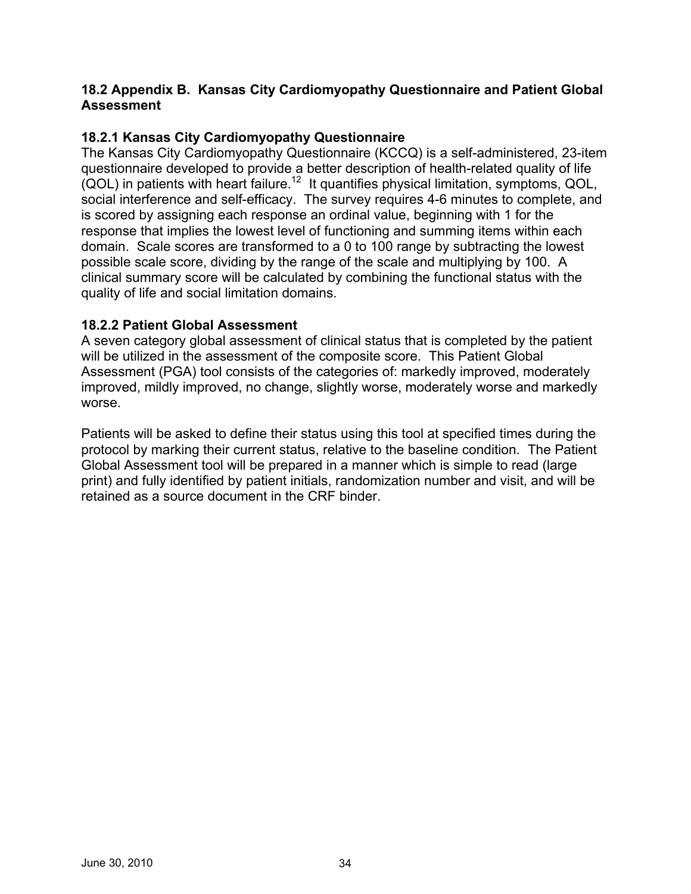### **18.2 Appendix B. Kansas City Cardiomyopathy Questionnaire and Patient Global Assessment**

## **18.2.1 Kansas City Cardiomyopathy Questionnaire**

The Kansas City Cardiomyopathy Questionnaire (KCCQ) is a self-administered, 23-item questionnaire developed to provide a better description of health-related quality of life  $(QOL)$  in patients with heart failure.<sup>12</sup> It quantifies physical limitation, symptoms, QOL, social interference and self-efficacy. The survey requires 4-6 minutes to complete, and is scored by assigning each response an ordinal value, beginning with 1 for the response that implies the lowest level of functioning and summing items within each domain. Scale scores are transformed to a 0 to 100 range by subtracting the lowest possible scale score, dividing by the range of the scale and multiplying by 100. A clinical summary score will be calculated by combining the functional status with the quality of life and social limitation domains.

### **18.2.2 Patient Global Assessment**

A seven category global assessment of clinical status that is completed by the patient will be utilized in the assessment of the composite score. This Patient Global Assessment (PGA) tool consists of the categories of: markedly improved, moderately improved, mildly improved, no change, slightly worse, moderately worse and markedly worse.

Patients will be asked to define their status using this tool at specified times during the protocol by marking their current status, relative to the baseline condition. The Patient Global Assessment tool will be prepared in a manner which is simple to read (large print) and fully identified by patient initials, randomization number and visit, and will be retained as a source document in the CRF binder.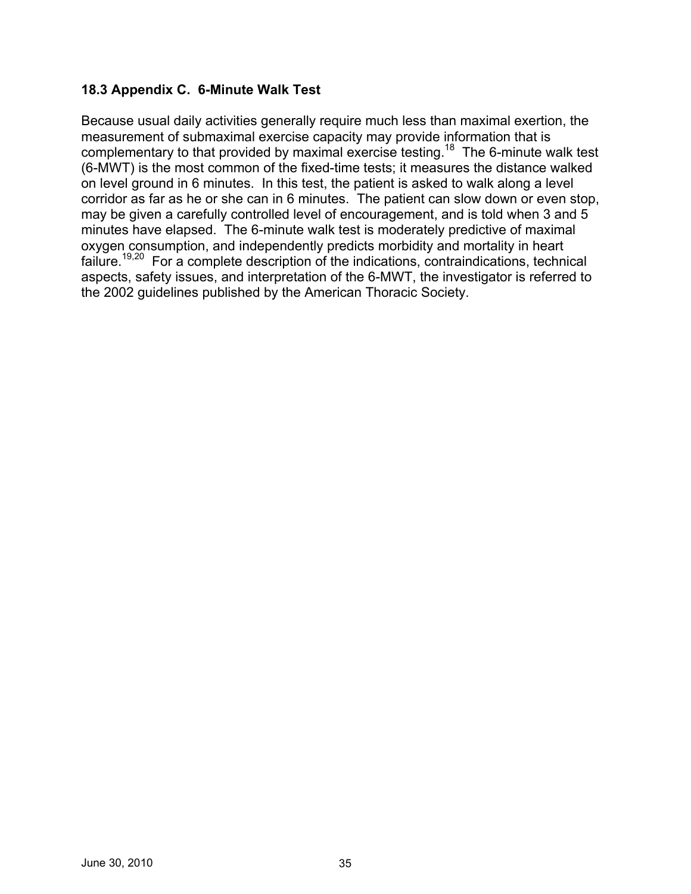### **18.3 Appendix C. 6-Minute Walk Test**

Because usual daily activities generally require much less than maximal exertion, the measurement of submaximal exercise capacity may provide information that is complementary to that provided by maximal exercise testing.<sup>18</sup> The 6-minute walk test (6-MWT) is the most common of the fixed-time tests; it measures the distance walked on level ground in 6 minutes. In this test, the patient is asked to walk along a level corridor as far as he or she can in 6 minutes. The patient can slow down or even stop, may be given a carefully controlled level of encouragement, and is told when 3 and 5 minutes have elapsed. The 6-minute walk test is moderately predictive of maximal oxygen consumption, and independently predicts morbidity and mortality in heart failure.<sup>19,20</sup> For a complete description of the indications, contraindications, technical aspects, safety issues, and interpretation of the 6-MWT, the investigator is referred to the 2002 guidelines published by the American Thoracic Society.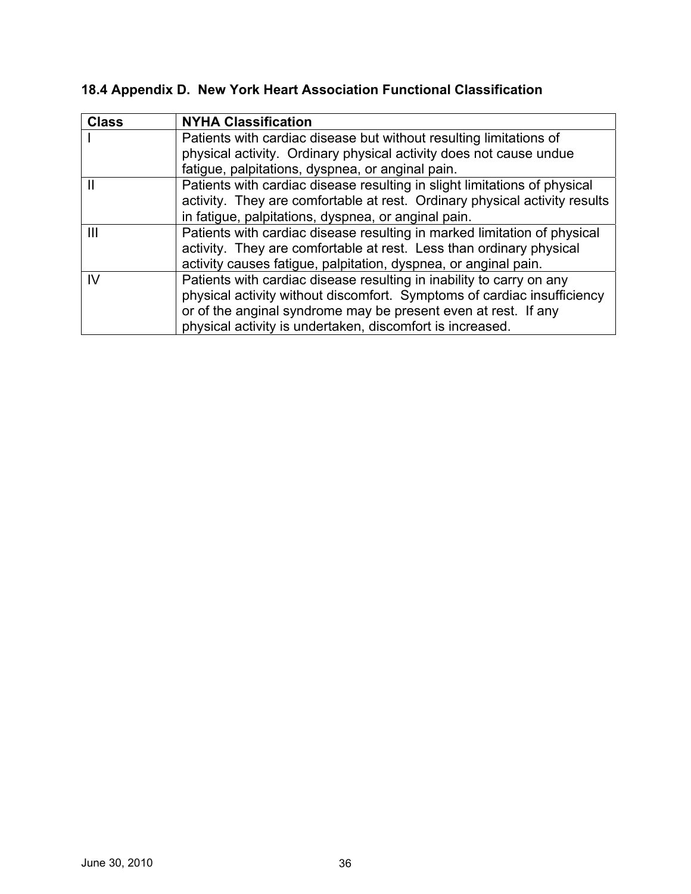# **18.4 Appendix D. New York Heart Association Functional Classification**

| <b>Class</b> | <b>NYHA Classification</b>                                                 |
|--------------|----------------------------------------------------------------------------|
|              | Patients with cardiac disease but without resulting limitations of         |
|              | physical activity. Ordinary physical activity does not cause undue         |
|              | fatigue, palpitations, dyspnea, or anginal pain.                           |
|              | Patients with cardiac disease resulting in slight limitations of physical  |
|              | activity. They are comfortable at rest. Ordinary physical activity results |
|              | in fatigue, palpitations, dyspnea, or anginal pain.                        |
| Ш            | Patients with cardiac disease resulting in marked limitation of physical   |
|              | activity. They are comfortable at rest. Less than ordinary physical        |
|              | activity causes fatigue, palpitation, dyspnea, or anginal pain.            |
| IV           | Patients with cardiac disease resulting in inability to carry on any       |
|              | physical activity without discomfort. Symptoms of cardiac insufficiency    |
|              | or of the anginal syndrome may be present even at rest. If any             |
|              | physical activity is undertaken, discomfort is increased.                  |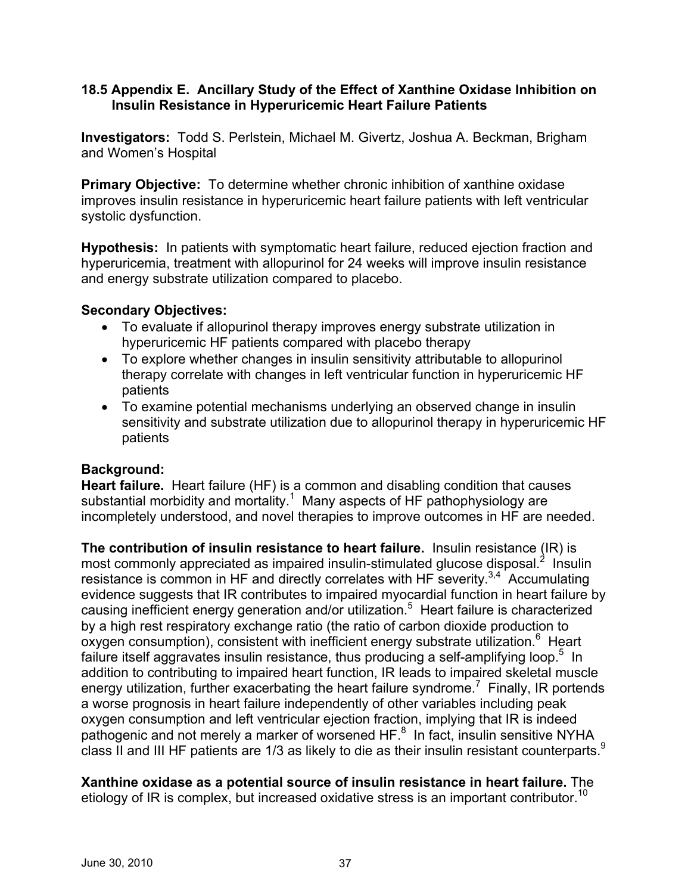### **18.5 Appendix E. Ancillary Study of the Effect of Xanthine Oxidase Inhibition on Insulin Resistance in Hyperuricemic Heart Failure Patients**

**Investigators:** Todd S. Perlstein, Michael M. Givertz, Joshua A. Beckman, Brigham and Women's Hospital

**Primary Objective:** To determine whether chronic inhibition of xanthine oxidase improves insulin resistance in hyperuricemic heart failure patients with left ventricular systolic dysfunction.

**Hypothesis:** In patients with symptomatic heart failure, reduced ejection fraction and hyperuricemia, treatment with allopurinol for 24 weeks will improve insulin resistance and energy substrate utilization compared to placebo.

### **Secondary Objectives:**

- To evaluate if allopurinol therapy improves energy substrate utilization in hyperuricemic HF patients compared with placebo therapy
- To explore whether changes in insulin sensitivity attributable to allopurinol therapy correlate with changes in left ventricular function in hyperuricemic HF patients
- To examine potential mechanisms underlying an observed change in insulin sensitivity and substrate utilization due to allopurinol therapy in hyperuricemic HF patients

### **Background:**

**Heart failure.** Heart failure (HF) is a common and disabling condition that causes substantial morbidity and mortality.<sup>1</sup> Many aspects of HF pathophysiology are incompletely understood, and novel therapies to improve outcomes in HF are needed.

**The contribution of insulin resistance to heart failure.** Insulin resistance (IR) is most commonly appreciated as impaired insulin-stimulated glucose disposal. $<sup>2</sup>$  Insulin</sup> resistance is common in HF and directly correlates with HF severity.<sup>3,4</sup> Accumulating evidence suggests that IR contributes to impaired myocardial function in heart failure by causing inefficient energy generation and/or utilization.5 Heart failure is characterized by a high rest respiratory exchange ratio (the ratio of carbon dioxide production to oxygen consumption), consistent with inefficient energy substrate utilization.<sup>6</sup> Heart failure itself aggravates insulin resistance, thus producing a self-amplifying loop.<sup>5</sup> In addition to contributing to impaired heart function, IR leads to impaired skeletal muscle energy utilization, further exacerbating the heart failure syndrome.<sup>7</sup> Finally, IR portends a worse prognosis in heart failure independently of other variables including peak oxygen consumption and left ventricular ejection fraction, implying that IR is indeed pathogenic and not merely a marker of worsened HF.<sup>8</sup> In fact, insulin sensitive NYHA class II and III HF patients are  $1/3$  as likely to die as their insulin resistant counterparts. $9$ 

etiology of IR is complex, but increased oxidative stress is an important contributor.<sup>10</sup> **Xanthine oxidase as a potential source of insulin resistance in heart failure.** The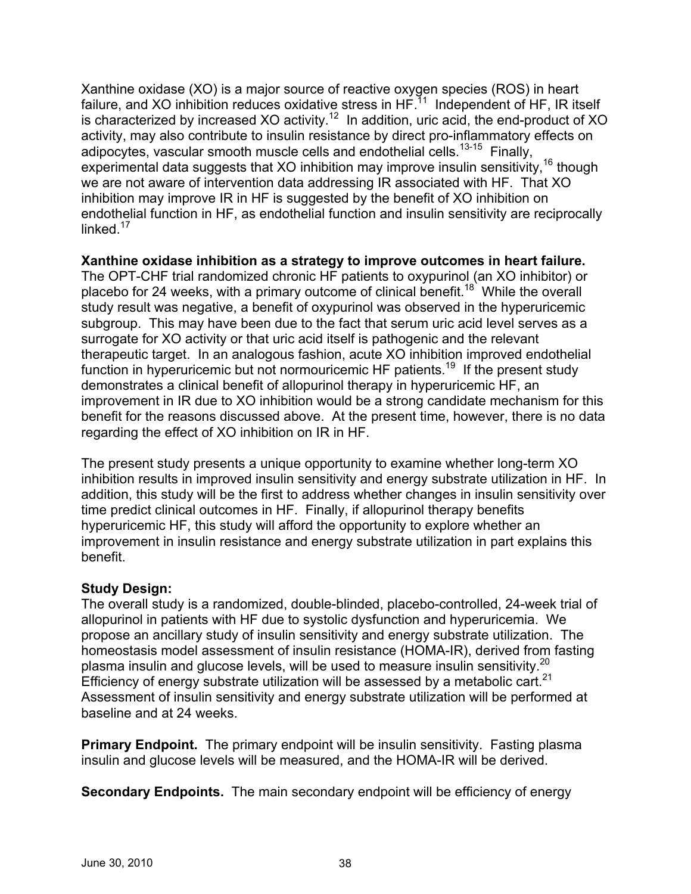Xanthine oxidase (XO) is a major source of reactive oxygen species (ROS) in heart failure, and XO inhibition reduces oxidative stress in  $HF<sup>11</sup>$  Independent of HF, IR itself is characterized by increased XO activity.<sup>12</sup> In addition, uric acid, the end-product of XO activity, may also contribute to insulin resistance by direct pro-inflammatory effects on adipocytes, vascular smooth muscle cells and endothelial cells.<sup>13-15</sup> Finally. experimental data suggests that XO inhibition may improve insulin sensitivity,  $16$  though we are not aware of intervention data addressing IR associated with HF. That XO inhibition may improve IR in HF is suggested by the benefit of XO inhibition on endothelial function in HF, as endothelial function and insulin sensitivity are reciprocally linked $17$ 

**Xanthine oxidase inhibition as a strategy to improve outcomes in heart failure.** 

The OPT-CHF trial randomized chronic HF patients to oxypurinol (an XO inhibitor) or placebo for 24 weeks, with a primary outcome of clinical benefit.<sup>18</sup> While the overall study result was negative, a benefit of oxypurinol was observed in the hyperuricemic subgroup. This may have been due to the fact that serum uric acid level serves as a surrogate for XO activity or that uric acid itself is pathogenic and the relevant therapeutic target. In an analogous fashion, acute XO inhibition improved endothelial function in hyperuricemic but not normouricemic HF patients.<sup>19</sup> If the present study demonstrates a clinical benefit of allopurinol therapy in hyperuricemic HF, an improvement in IR due to XO inhibition would be a strong candidate mechanism for this benefit for the reasons discussed above. At the present time, however, there is no data regarding the effect of XO inhibition on IR in HF.

The present study presents a unique opportunity to examine whether long-term XO inhibition results in improved insulin sensitivity and energy substrate utilization in HF. In addition, this study will be the first to address whether changes in insulin sensitivity over time predict clinical outcomes in HF. Finally, if allopurinol therapy benefits hyperuricemic HF, this study will afford the opportunity to explore whether an improvement in insulin resistance and energy substrate utilization in part explains this benefit.

### **Study Design:**

plasma insulin and glucose levels, will be used to measure insulin sensitivity.<sup>20</sup> Efficiency of energy substrate utilization will be assessed by a metabolic cart.<sup>21</sup> The overall study is a randomized, double-blinded, placebo-controlled, 24-week trial of allopurinol in patients with HF due to systolic dysfunction and hyperuricemia. We propose an ancillary study of insulin sensitivity and energy substrate utilization. The homeostasis model assessment of insulin resistance (HOMA-IR), derived from fasting Assessment of insulin sensitivity and energy substrate utilization will be performed at baseline and at 24 weeks.

**Primary Endpoint.** The primary endpoint will be insulin sensitivity. Fasting plasma insulin and glucose levels will be measured, and the HOMA-IR will be derived.

**Secondary Endpoints.** The main secondary endpoint will be efficiency of energy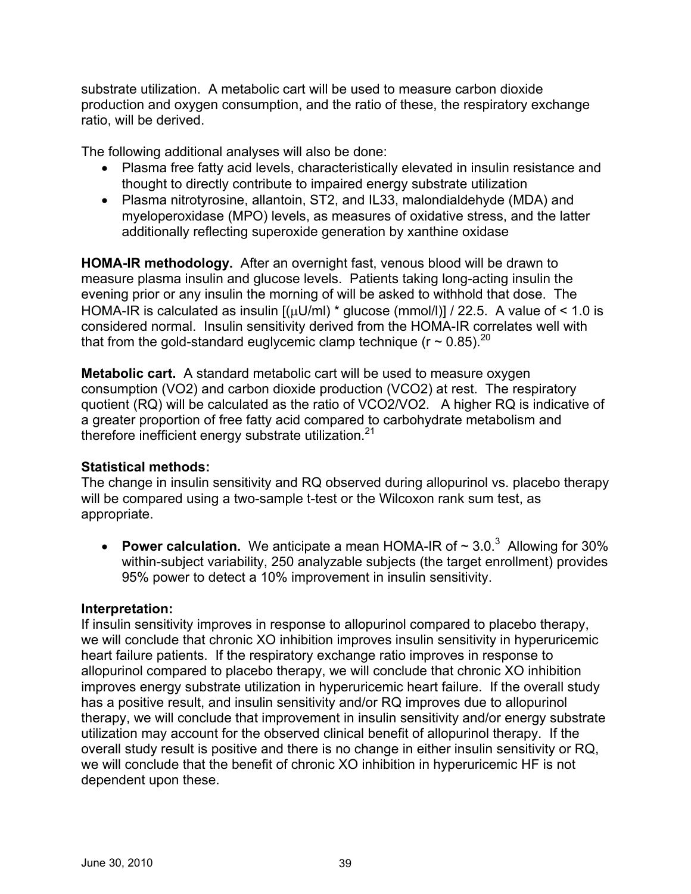substrate utilization. A metabolic cart will be used to measure carbon dioxide production and oxygen consumption, and the ratio of these, the respiratory exchange ratio, will be derived.

The following additional analyses will also be done:

- Plasma free fatty acid levels, characteristically elevated in insulin resistance and thought to directly contribute to impaired energy substrate utilization
- Plasma nitrotyrosine, allantoin, ST2, and IL33, malondialdehyde (MDA) and myeloperoxidase (MPO) levels, as measures of oxidative stress, and the latter additionally reflecting superoxide generation by xanthine oxidase

**HOMA-IR methodology.** After an overnight fast, venous blood will be drawn to measure plasma insulin and glucose levels. Patients taking long-acting insulin the evening prior or any insulin the morning of will be asked to withhold that dose. The HOMA-IR is calculated as insulin  $[(\mu U/m])^*$  glucose (mmol/l)] / 22.5. A value of < 1.0 is considered normal. Insulin sensitivity derived from the HOMA-IR correlates well with that from the gold-standard euglycemic clamp technique ( $r \sim 0.85$ ).<sup>20</sup>

therefore inefficient energy substrate utilization.<sup>21</sup> **Metabolic cart.** A standard metabolic cart will be used to measure oxygen consumption (VO2) and carbon dioxide production (VCO2) at rest. The respiratory quotient (RQ) will be calculated as the ratio of VCO2/VO2. A higher RQ is indicative of a greater proportion of free fatty acid compared to carbohydrate metabolism and

### **Statistical methods:**

The change in insulin sensitivity and RQ observed during allopurinol vs. placebo therapy will be compared using a two-sample t-test or the Wilcoxon rank sum test, as appropriate.

• **Power calculation.** We anticipate a mean HOMA-IR of  $\sim$  3.0.<sup>3</sup> Allowing for 30% within-subject variability, 250 analyzable subjects (the target enrollment) provides 95% power to detect a 10% improvement in insulin sensitivity.

### **Interpretation:**

If insulin sensitivity improves in response to allopurinol compared to placebo therapy, we will conclude that chronic XO inhibition improves insulin sensitivity in hyperuricemic heart failure patients. If the respiratory exchange ratio improves in response to allopurinol compared to placebo therapy, we will conclude that chronic XO inhibition improves energy substrate utilization in hyperuricemic heart failure. If the overall study has a positive result, and insulin sensitivity and/or RQ improves due to allopurinol therapy, we will conclude that improvement in insulin sensitivity and/or energy substrate utilization may account for the observed clinical benefit of allopurinol therapy. If the overall study result is positive and there is no change in either insulin sensitivity or RQ, we will conclude that the benefit of chronic XO inhibition in hyperuricemic HF is not dependent upon these.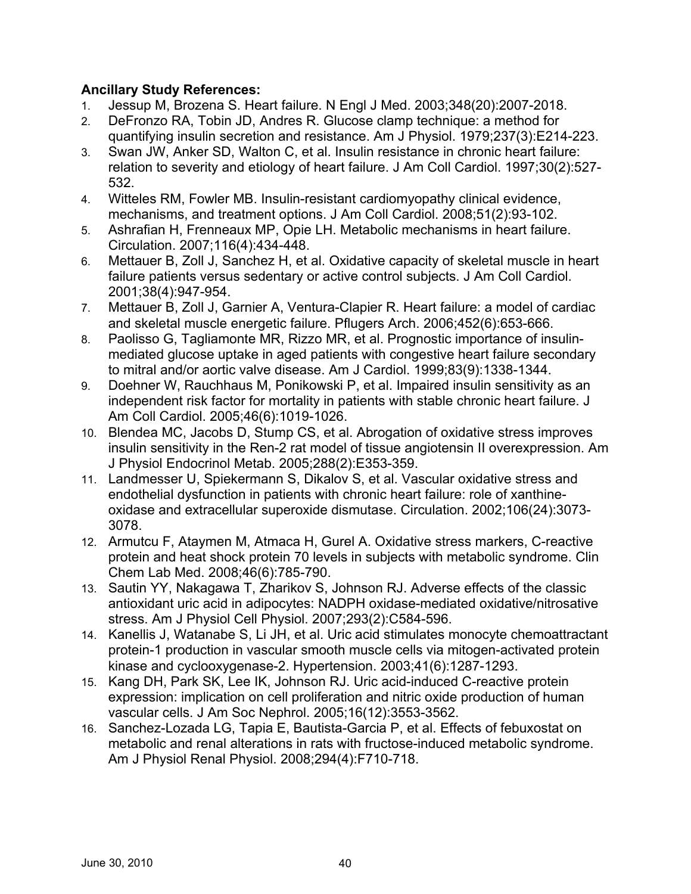## **Ancillary Study References:**

- 1. Jessup M, Brozena S. Heart failure. N Engl J Med. 2003;348(20):2007-2018.
- 2. DeFronzo RA, Tobin JD, Andres R. Glucose clamp technique: a method for quantifying insulin secretion and resistance. Am J Physiol. 1979;237(3):E214-223.
- 3. Swan JW, Anker SD, Walton C, et al. Insulin resistance in chronic heart failure: relation to severity and etiology of heart failure. J Am Coll Cardiol. 1997;30(2):527- 532.
- 4. Witteles RM, Fowler MB. Insulin-resistant cardiomyopathy clinical evidence, mechanisms, and treatment options. J Am Coll Cardiol. 2008;51(2):93-102.
- 5. Ashrafian H, Frenneaux MP, Opie LH. Metabolic mechanisms in heart failure. Circulation. 2007;116(4):434-448.
- 6. Mettauer B, Zoll J, Sanchez H, et al. Oxidative capacity of skeletal muscle in heart failure patients versus sedentary or active control subjects. J Am Coll Cardiol. 2001;38(4):947-954.
- 7. Mettauer B, Zoll J, Garnier A, Ventura-Clapier R. Heart failure: a model of cardiac and skeletal muscle energetic failure. Pflugers Arch. 2006;452(6):653-666.
- 8. Paolisso G, Tagliamonte MR, Rizzo MR, et al. Prognostic importance of insulinmediated glucose uptake in aged patients with congestive heart failure secondary to mitral and/or aortic valve disease. Am J Cardiol. 1999;83(9):1338-1344.
- 9. Doehner W, Rauchhaus M, Ponikowski P, et al. Impaired insulin sensitivity as an independent risk factor for mortality in patients with stable chronic heart failure. J Am Coll Cardiol. 2005;46(6):1019-1026.
- 10. Blendea MC, Jacobs D, Stump CS, et al. Abrogation of oxidative stress improves insulin sensitivity in the Ren-2 rat model of tissue angiotensin II overexpression. Am J Physiol Endocrinol Metab. 2005;288(2):E353-359.
- 11. Landmesser U, Spiekermann S, Dikalov S, et al. Vascular oxidative stress and endothelial dysfunction in patients with chronic heart failure: role of xanthineoxidase and extracellular superoxide dismutase. Circulation. 2002;106(24):3073- 3078.
- 12. Armutcu F, Ataymen M, Atmaca H, Gurel A. Oxidative stress markers, C-reactive protein and heat shock protein 70 levels in subjects with metabolic syndrome. Clin Chem Lab Med. 2008;46(6):785-790.
- 13. Sautin YY, Nakagawa T, Zharikov S, Johnson RJ. Adverse effects of the classic antioxidant uric acid in adipocytes: NADPH oxidase-mediated oxidative/nitrosative stress. Am J Physiol Cell Physiol. 2007;293(2):C584-596.
- 14. Kanellis J, Watanabe S, Li JH, et al. Uric acid stimulates monocyte chemoattractant protein-1 production in vascular smooth muscle cells via mitogen-activated protein kinase and cyclooxygenase-2. Hypertension. 2003;41(6):1287-1293.
- 15. Kang DH, Park SK, Lee IK, Johnson RJ. Uric acid-induced C-reactive protein expression: implication on cell proliferation and nitric oxide production of human vascular cells. J Am Soc Nephrol. 2005;16(12):3553-3562.
- 16. Sanchez-Lozada LG, Tapia E, Bautista-Garcia P, et al. Effects of febuxostat on metabolic and renal alterations in rats with fructose-induced metabolic syndrome. Am J Physiol Renal Physiol. 2008;294(4):F710-718.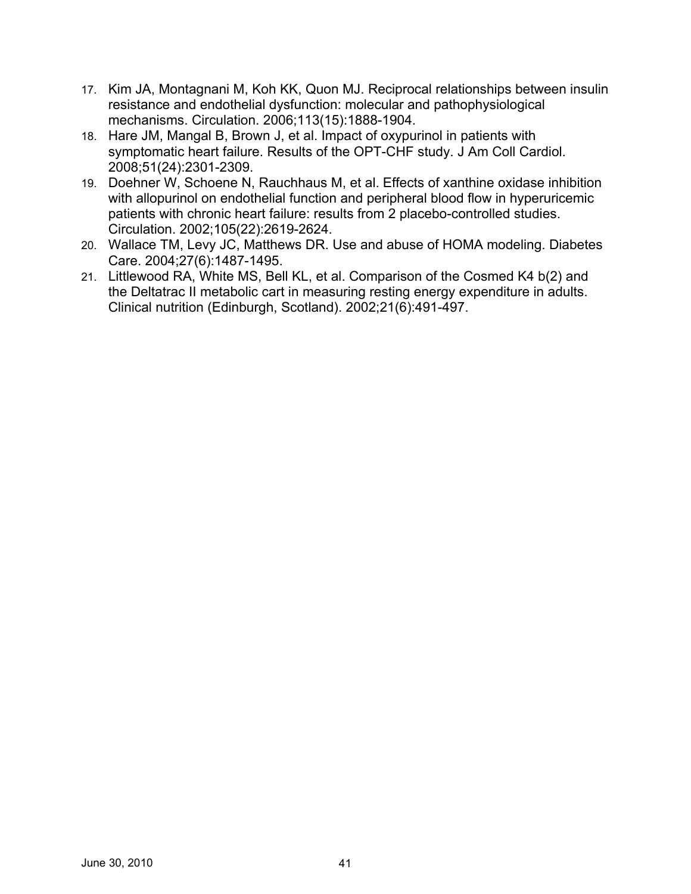- 17. Kim JA, Montagnani M, Koh KK, Quon MJ. Reciprocal relationships between insulin resistance and endothelial dysfunction: molecular and pathophysiological mechanisms. Circulation. 2006;113(15):1888-1904.
- 18. Hare JM, Mangal B, Brown J, et al. Impact of oxypurinol in patients with symptomatic heart failure. Results of the OPT-CHF study. J Am Coll Cardiol. 2008;51(24):2301-2309.
- 19. Doehner W, Schoene N, Rauchhaus M, et al. Effects of xanthine oxidase inhibition with allopurinol on endothelial function and peripheral blood flow in hyperuricemic patients with chronic heart failure: results from 2 placebo-controlled studies. Circulation. 2002;105(22):2619-2624.
- 20. Wallace TM, Levy JC, Matthews DR. Use and abuse of HOMA modeling. Diabetes Care. 2004;27(6):1487-1495.
- 21. Littlewood RA, White MS, Bell KL, et al. Comparison of the Cosmed K4 b(2) and the Deltatrac II metabolic cart in measuring resting energy expenditure in adults. Clinical nutrition (Edinburgh, Scotland). 2002;21(6):491-497.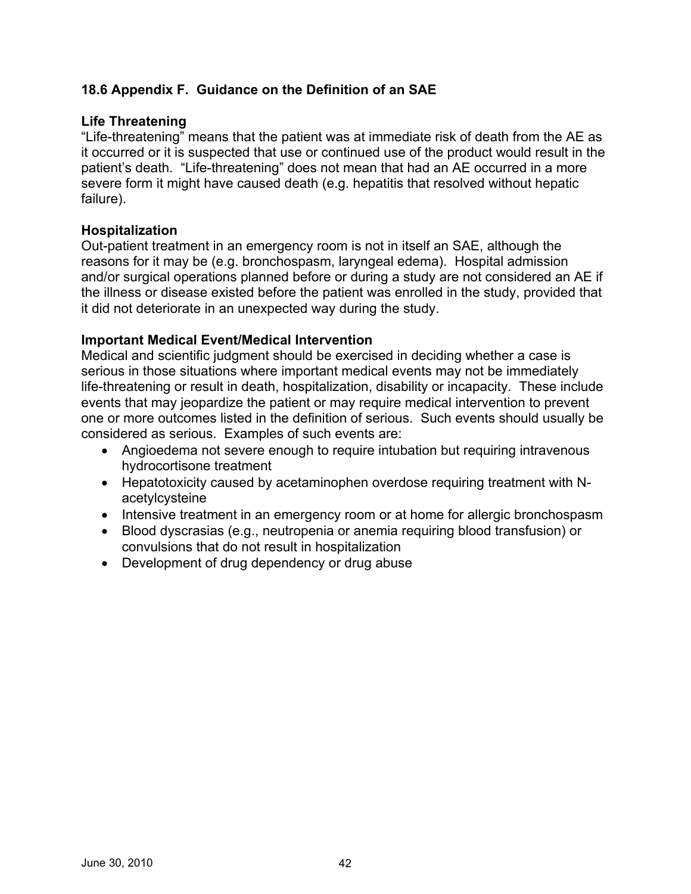## **18.6 Appendix F. Guidance on the Definition of an SAE**

#### **Life Threatening**

"Life-threatening" means that the patient was at immediate risk of death from the AE as it occurred or it is suspected that use or continued use of the product would result in the patient's death. "Life-threatening" does not mean that had an AE occurred in a more severe form it might have caused death (e.g. hepatitis that resolved without hepatic failure).

#### **Hospitalization**

Out-patient treatment in an emergency room is not in itself an SAE, although the reasons for it may be (e.g. bronchospasm, laryngeal edema). Hospital admission and/or surgical operations planned before or during a study are not considered an AE if the illness or disease existed before the patient was enrolled in the study, provided that it did not deteriorate in an unexpected way during the study.

#### **Important Medical Event/Medical Intervention**

Medical and scientific judgment should be exercised in deciding whether a case is serious in those situations where important medical events may not be immediately life-threatening or result in death, hospitalization, disability or incapacity. These include events that may jeopardize the patient or may require medical intervention to prevent one or more outcomes listed in the definition of serious. Such events should usually be considered as serious. Examples of such events are:

- Angioedema not severe enough to require intubation but requiring intravenous hydrocortisone treatment
- Hepatotoxicity caused by acetaminophen overdose requiring treatment with Nacetylcysteine
- Intensive treatment in an emergency room or at home for allergic bronchospasm
- Blood dyscrasias (e.g., neutropenia or anemia requiring blood transfusion) or convulsions that do not result in hospitalization
- Development of drug dependency or drug abuse